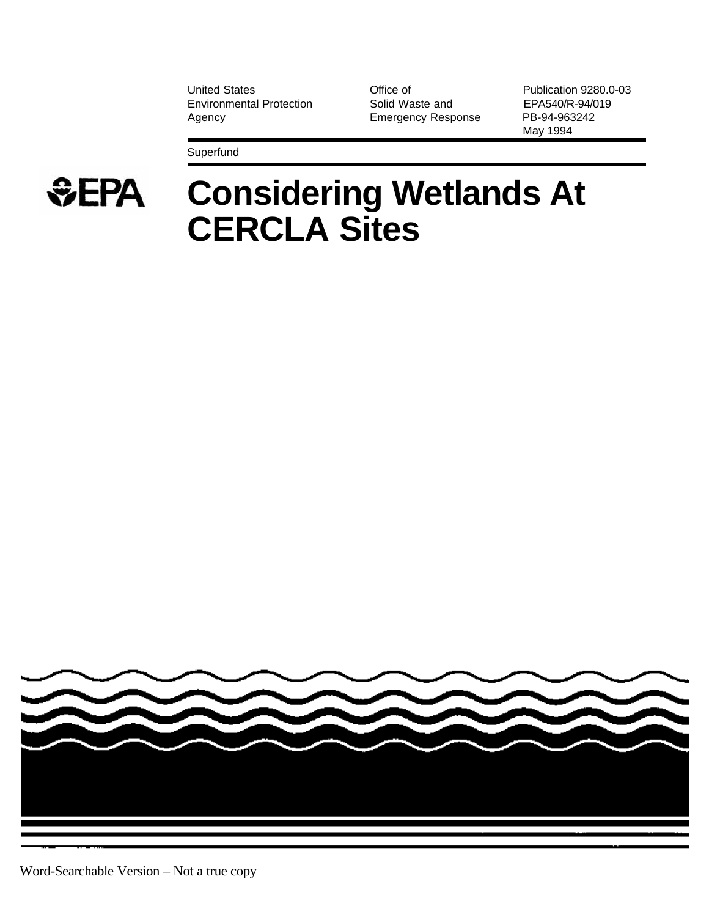United States **Contract Contract Contract Contract Contract Contract Publication 9280.0-03** Environmental Protection Solid Waste and EPA540/R-94/019 Agency **Emergency Response** PB-94-963242

May 1994

Superfund



# **Considering Wetlands At CERCLA Sites**

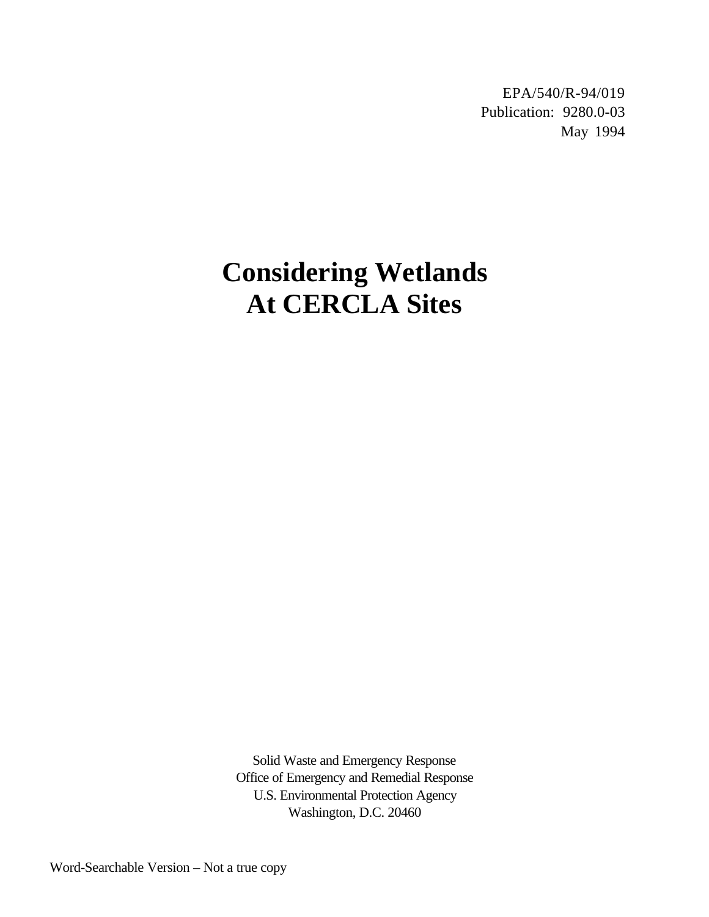EPA/540/R-94/019 Publication: 9280.0-03 May 1994

# **Considering Wetlands At CERCLA Sites**

Solid Waste and Emergency Response Office of Emergency and Remedial Response U.S. Environmental Protection Agency Washington, D.C. 20460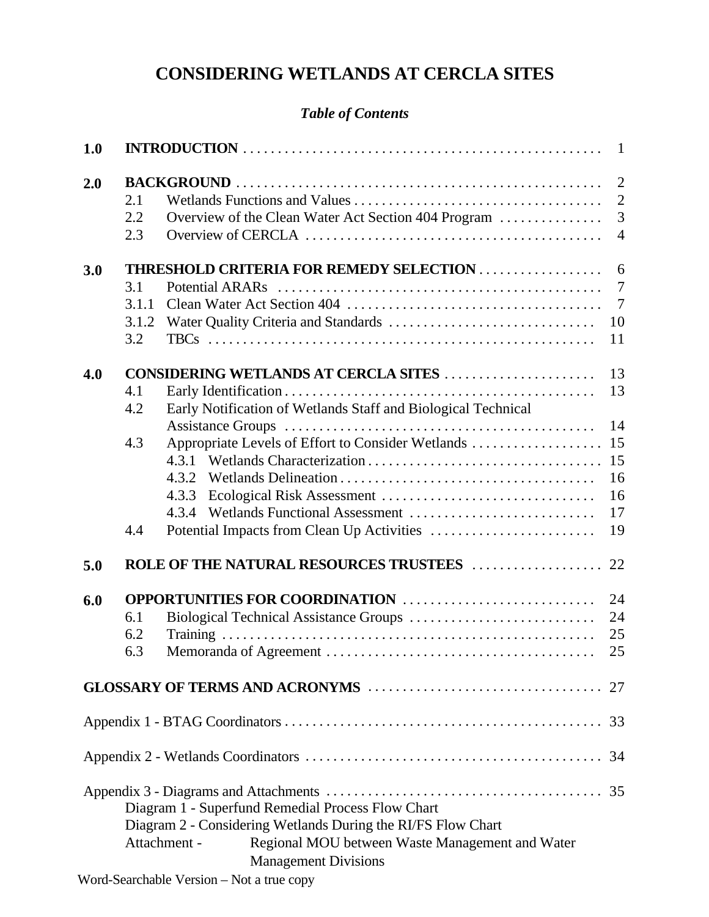# **CONSIDERING WETLANDS AT CERCLA SITES**

# *Table of Contents*

| 1.0 |                              |                                                                                                                                                                                                                     |                                                         |
|-----|------------------------------|---------------------------------------------------------------------------------------------------------------------------------------------------------------------------------------------------------------------|---------------------------------------------------------|
| 2.0 | 2.1<br>2.2<br>2.3            | Overview of the Clean Water Act Section 404 Program                                                                                                                                                                 | $\overline{2}$<br>$\overline{2}$<br>3<br>$\overline{4}$ |
| 3.0 | 3.1<br>3.1.1<br>3.1.2<br>3.2 | <b>THRESHOLD CRITERIA FOR REMEDY SELECTION </b>                                                                                                                                                                     | 6<br>$\overline{7}$<br>$\overline{7}$<br>10<br>11       |
| 4.0 | 4.1<br>4.2<br>4.3<br>4.4     | CONSIDERING WETLANDS AT CERCLA SITES<br>Early Notification of Wetlands Staff and Biological Technical<br>Appropriate Levels of Effort to Consider Wetlands                                                          | 13<br>13<br>14<br>15<br>15<br>16<br>16<br>17<br>19      |
| 5.0 |                              |                                                                                                                                                                                                                     |                                                         |
| 6.0 | 6.1<br>6.2<br>6.3            | <b>OPPORTUNITIES FOR COORDINATION</b>                                                                                                                                                                               | 24<br>24<br>25<br>25                                    |
|     |                              |                                                                                                                                                                                                                     |                                                         |
|     |                              |                                                                                                                                                                                                                     |                                                         |
|     |                              |                                                                                                                                                                                                                     |                                                         |
|     |                              | Diagram 1 - Superfund Remedial Process Flow Chart<br>Diagram 2 - Considering Wetlands During the RI/FS Flow Chart<br>Attachment -<br>Regional MOU between Waste Management and Water<br><b>Management Divisions</b> |                                                         |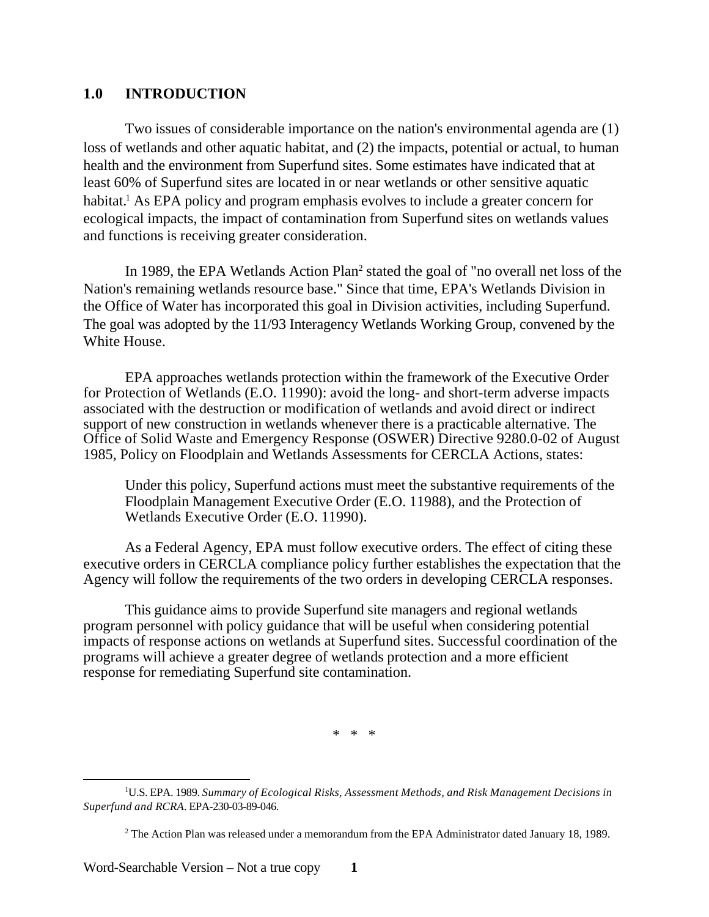### **1.0 INTRODUCTION**

Two issues of considerable importance on the nation's environmental agenda are (1) loss of wetlands and other aquatic habitat, and (2) the impacts, potential or actual, to human health and the environment from Superfund sites. Some estimates have indicated that at least 60% of Superfund sites are located in or near wetlands or other sensitive aquatic habitat.<sup>1</sup> As EPA policy and program emphasis evolves to include a greater concern for ecological impacts, the impact of contamination from Superfund sites on wetlands values and functions is receiving greater consideration.

In 1989, the EPA Wetlands Action Plan<sup>2</sup> stated the goal of "no overall net loss of the Nation's remaining wetlands resource base." Since that time, EPA's Wetlands Division in the Office of Water has incorporated this goal in Division activities, including Superfund. The goal was adopted by the 11/93 Interagency Wetlands Working Group, convened by the White House.

EPA approaches wetlands protection within the framework of the Executive Order for Protection of Wetlands (E.O. 11990): avoid the long- and short-term adverse impacts associated with the destruction or modification of wetlands and avoid direct or indirect support of new construction in wetlands whenever there is a practicable alternative. The Office of Solid Waste and Emergency Response (OSWER) Directive 9280.0-02 of August 1985, Policy on Floodplain and Wetlands Assessments for CERCLA Actions, states:

Under this policy, Superfund actions must meet the substantive requirements of the Floodplain Management Executive Order (E.O. 11988), and the Protection of Wetlands Executive Order (E.O. 11990).

As a Federal Agency, EPA must follow executive orders. The effect of citing these executive orders in CERCLA compliance policy further establishes the expectation that the Agency will follow the requirements of the two orders in developing CERCLA responses.

This guidance aims to provide Superfund site managers and regional wetlands program personnel with policy guidance that will be useful when considering potential impacts of response actions on wetlands at Superfund sites. Successful coordination of the programs will achieve a greater degree of wetlands protection and a more efficient response for remediating Superfund site contamination.

\* \* \*

Word-Searchable Version – Not a true copy **1** 

<sup>1</sup> U.S. EPA. 1989. *Summary of Ecological Risks, Assessment Methods, and Risk Management Decisions in Superfund and RCRA*. EPA-230-03-89-046.

<sup>&</sup>lt;sup>2</sup> The Action Plan was released under a memorandum from the EPA Administrator dated January 18, 1989.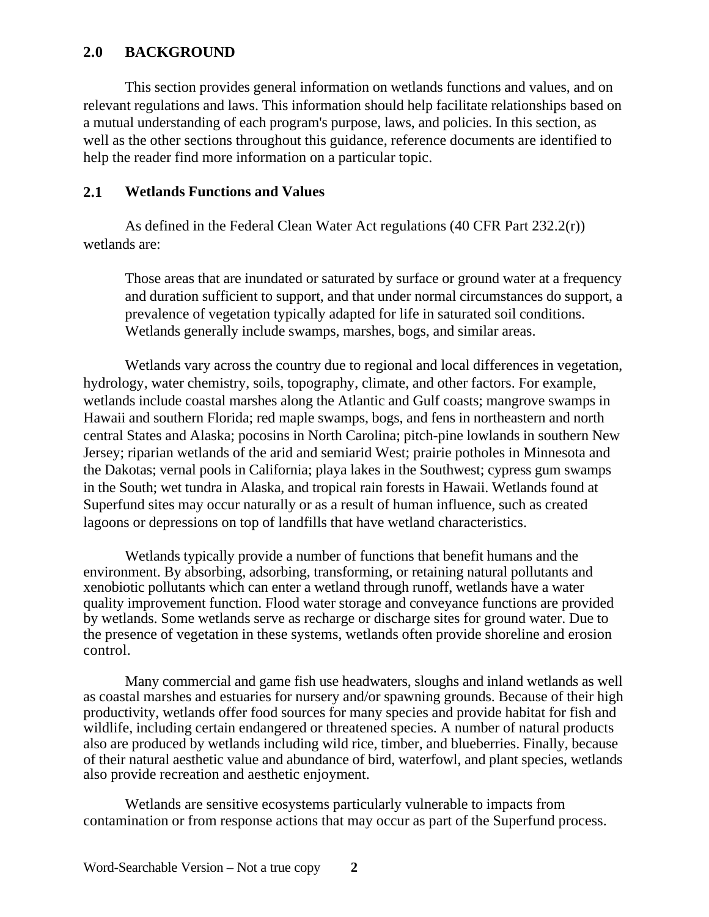# **2.0 BACKGROUND**

This section provides general information on wetlands functions and values, and on relevant regulations and laws. This information should help facilitate relationships based on a mutual understanding of each program's purpose, laws, and policies. In this section, as well as the other sections throughout this guidance, reference documents are identified to help the reader find more information on a particular topic.

# **2.1 Wetlands Functions and Values**

As defined in the Federal Clean Water Act regulations (40 CFR Part 232.2(r)) wetlands are:

Those areas that are inundated or saturated by surface or ground water at a frequency and duration sufficient to support, and that under normal circumstances do support, a prevalence of vegetation typically adapted for life in saturated soil conditions. Wetlands generally include swamps, marshes, bogs, and similar areas.

Wetlands vary across the country due to regional and local differences in vegetation, hydrology, water chemistry, soils, topography, climate, and other factors. For example, wetlands include coastal marshes along the Atlantic and Gulf coasts; mangrove swamps in Hawaii and southern Florida; red maple swamps, bogs, and fens in northeastern and north central States and Alaska; pocosins in North Carolina; pitch-pine lowlands in southern New Jersey; riparian wetlands of the arid and semiarid West; prairie potholes in Minnesota and the Dakotas; vernal pools in California; playa lakes in the Southwest; cypress gum swamps in the South; wet tundra in Alaska, and tropical rain forests in Hawaii. Wetlands found at Superfund sites may occur naturally or as a result of human influence, such as created lagoons or depressions on top of landfills that have wetland characteristics.

Wetlands typically provide a number of functions that benefit humans and the environment. By absorbing, adsorbing, transforming, or retaining natural pollutants and xenobiotic pollutants which can enter a wetland through runoff, wetlands have a water quality improvement function. Flood water storage and conveyance functions are provided by wetlands. Some wetlands serve as recharge or discharge sites for ground water. Due to the presence of vegetation in these systems, wetlands often provide shoreline and erosion control.

Many commercial and game fish use headwaters, sloughs and inland wetlands as well as coastal marshes and estuaries for nursery and/or spawning grounds. Because of their high productivity, wetlands offer food sources for many species and provide habitat for fish and wildlife, including certain endangered or threatened species. A number of natural products also are produced by wetlands including wild rice, timber, and blueberries. Finally, because of their natural aesthetic value and abundance of bird, waterfowl, and plant species, wetlands also provide recreation and aesthetic enjoyment.

Wetlands are sensitive ecosystems particularly vulnerable to impacts from contamination or from response actions that may occur as part of the Superfund process.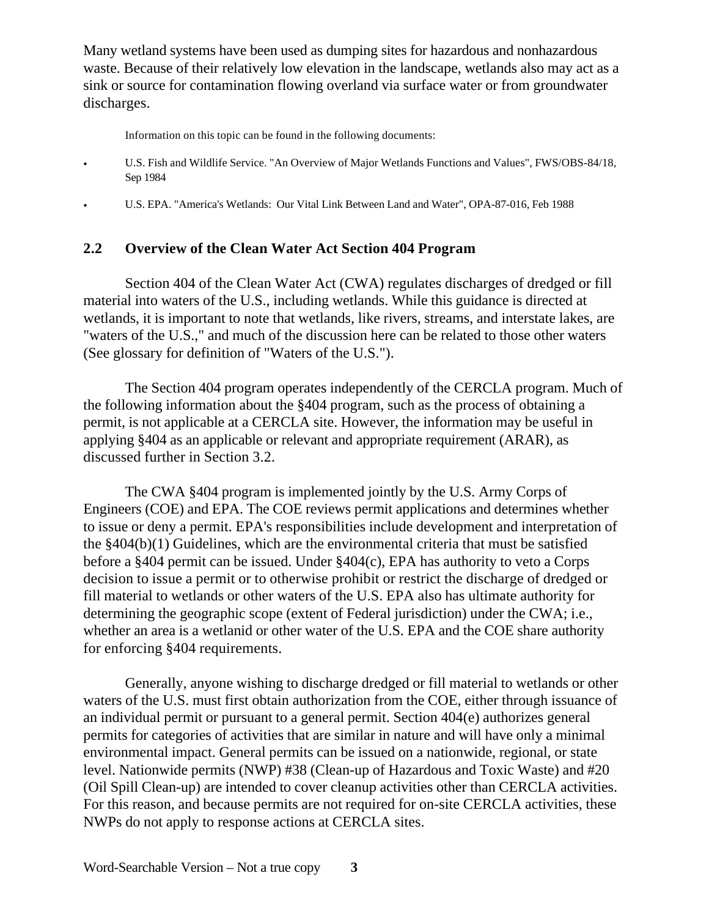Many wetland systems have been used as dumping sites for hazardous and nonhazardous waste. Because of their relatively low elevation in the landscape, wetlands also may act as a sink or source for contamination flowing overland via surface water or from groundwater discharges.

Information on this topic can be found in the following documents:

- U.S. Fish and Wildlife Service. "An Overview of Major Wetlands Functions and Values", FWS/OBS-84/18, Sep 1984
- U.S. EPA. "America's Wetlands: Our Vital Link Between Land and Water", OPA-87-016, Feb 1988

#### **2.2 Overview of the Clean Water Act Section 404 Program**

Section 404 of the Clean Water Act (CWA) regulates discharges of dredged or fill material into waters of the U.S., including wetlands. While this guidance is directed at wetlands, it is important to note that wetlands, like rivers, streams, and interstate lakes, are "waters of the U.S.," and much of the discussion here can be related to those other waters (See glossary for definition of "Waters of the U.S.").

The Section 404 program operates independently of the CERCLA program. Much of the following information about the §404 program, such as the process of obtaining a permit, is not applicable at a CERCLA site. However, the information may be useful in applying §404 as an applicable or relevant and appropriate requirement (ARAR), as discussed further in Section 3.2.

The CWA §404 program is implemented jointly by the U.S. Army Corps of Engineers (COE) and EPA. The COE reviews permit applications and determines whether to issue or deny a permit. EPA's responsibilities include development and interpretation of the §404(b)(1) Guidelines, which are the environmental criteria that must be satisfied before a §404 permit can be issued. Under §404(c), EPA has authority to veto a Corps decision to issue a permit or to otherwise prohibit or restrict the discharge of dredged or fill material to wetlands or other waters of the U.S. EPA also has ultimate authority for determining the geographic scope (extent of Federal jurisdiction) under the CWA; i.e., whether an area is a wetlanid or other water of the U.S. EPA and the COE share authority for enforcing §404 requirements.

Generally, anyone wishing to discharge dredged or fill material to wetlands or other waters of the U.S. must first obtain authorization from the COE, either through issuance of an individual permit or pursuant to a general permit. Section 404(e) authorizes general permits for categories of activities that are similar in nature and will have only a minimal environmental impact. General permits can be issued on a nationwide, regional, or state level. Nationwide permits (NWP) #38 (Clean-up of Hazardous and Toxic Waste) and #20 (Oil Spill Clean-up) are intended to cover cleanup activities other than CERCLA activities. For this reason, and because permits are not required for on-site CERCLA activities, these NWPs do not apply to response actions at CERCLA sites.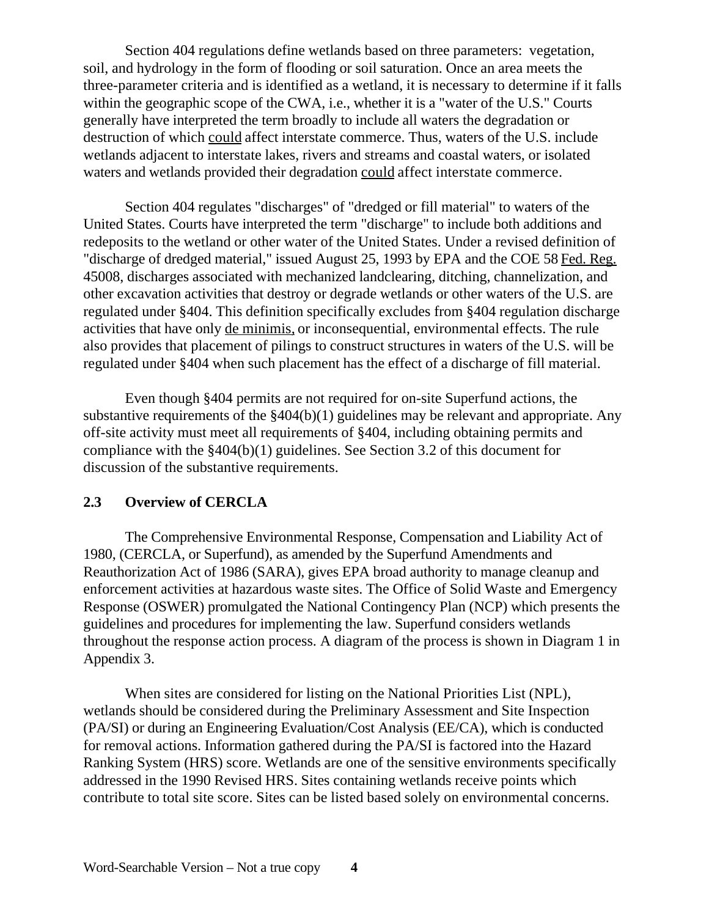Section 404 regulations define wetlands based on three parameters: vegetation, soil, and hydrology in the form of flooding or soil saturation. Once an area meets the three-parameter criteria and is identified as a wetland, it is necessary to determine if it falls within the geographic scope of the CWA, i.e., whether it is a "water of the U.S." Courts generally have interpreted the term broadly to include all waters the degradation or destruction of which could affect interstate commerce. Thus, waters of the U.S. include wetlands adjacent to interstate lakes, rivers and streams and coastal waters, or isolated waters and wetlands provided their degradation could affect interstate commerce.

Section 404 regulates "discharges" of "dredged or fill material" to waters of the United States. Courts have interpreted the term "discharge" to include both additions and redeposits to the wetland or other water of the United States. Under a revised definition of "discharge of dredged material," issued August 25, 1993 by EPA and the COE 58 Fed. Reg. 45008, discharges associated with mechanized landclearing, ditching, channelization, and other excavation activities that destroy or degrade wetlands or other waters of the U.S. are regulated under §404. This definition specifically excludes from §404 regulation discharge activities that have only de minimis, or inconsequential, environmental effects. The rule also provides that placement of pilings to construct structures in waters of the U.S. will be regulated under §404 when such placement has the effect of a discharge of fill material.

Even though §404 permits are not required for on-site Superfund actions, the substantive requirements of the §404(b)(1) guidelines may be relevant and appropriate. Any off-site activity must meet all requirements of §404, including obtaining permits and compliance with the §404(b)(1) guidelines. See Section 3.2 of this document for discussion of the substantive requirements.

## **2.3 Overview of CERCLA**

The Comprehensive Environmental Response, Compensation and Liability Act of 1980, (CERCLA, or Superfund), as amended by the Superfund Amendments and Reauthorization Act of 1986 (SARA), gives EPA broad authority to manage cleanup and enforcement activities at hazardous waste sites. The Office of Solid Waste and Emergency Response (OSWER) promulgated the National Contingency Plan (NCP) which presents the guidelines and procedures for implementing the law. Superfund considers wetlands throughout the response action process. A diagram of the process is shown in Diagram 1 in Appendix 3.

When sites are considered for listing on the National Priorities List (NPL), wetlands should be considered during the Preliminary Assessment and Site Inspection (PA/SI) or during an Engineering Evaluation/Cost Analysis (EE/CA), which is conducted for removal actions. Information gathered during the PA/SI is factored into the Hazard Ranking System (HRS) score. Wetlands are one of the sensitive environments specifically addressed in the 1990 Revised HRS. Sites containing wetlands receive points which contribute to total site score. Sites can be listed based solely on environmental concerns.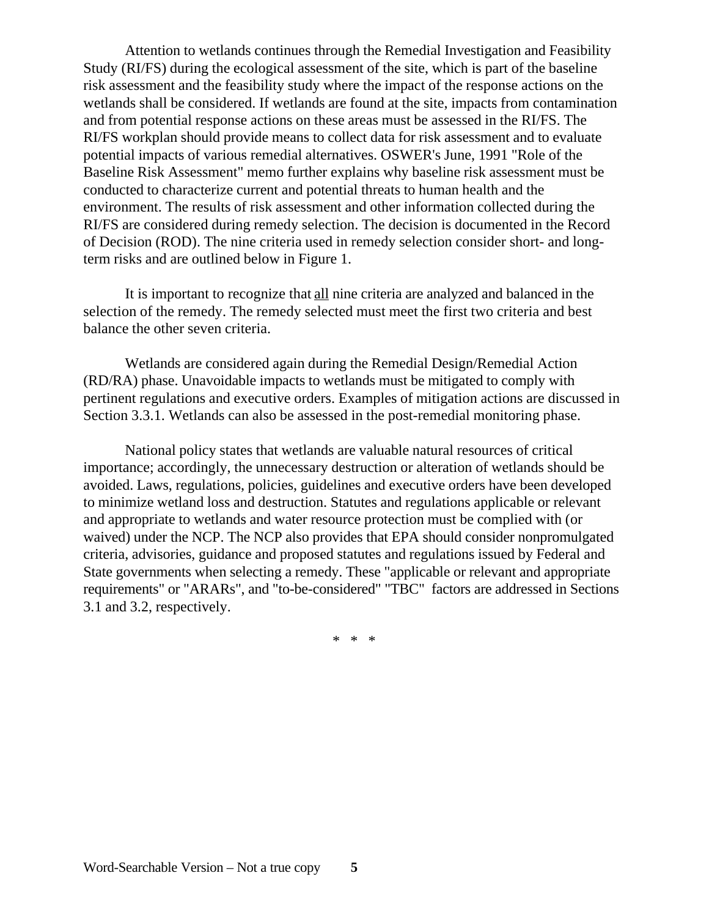Attention to wetlands continues through the Remedial Investigation and Feasibility Study (RI/FS) during the ecological assessment of the site, which is part of the baseline risk assessment and the feasibility study where the impact of the response actions on the wetlands shall be considered. If wetlands are found at the site, impacts from contamination and from potential response actions on these areas must be assessed in the RI/FS. The RI/FS workplan should provide means to collect data for risk assessment and to evaluate potential impacts of various remedial alternatives. OSWER's June, 1991 "Role of the Baseline Risk Assessment" memo further explains why baseline risk assessment must be conducted to characterize current and potential threats to human health and the environment. The results of risk assessment and other information collected during the RI/FS are considered during remedy selection. The decision is documented in the Record of Decision (ROD). The nine criteria used in remedy selection consider short- and longterm risks and are outlined below in Figure 1.

It is important to recognize that all nine criteria are analyzed and balanced in the selection of the remedy. The remedy selected must meet the first two criteria and best balance the other seven criteria.

Wetlands are considered again during the Remedial Design/Remedial Action (RD/RA) phase. Unavoidable impacts to wetlands must be mitigated to comply with pertinent regulations and executive orders. Examples of mitigation actions are discussed in Section 3.3.1. Wetlands can also be assessed in the post-remedial monitoring phase.

National policy states that wetlands are valuable natural resources of critical importance; accordingly, the unnecessary destruction or alteration of wetlands should be avoided. Laws, regulations, policies, guidelines and executive orders have been developed to minimize wetland loss and destruction. Statutes and regulations applicable or relevant and appropriate to wetlands and water resource protection must be complied with (or waived) under the NCP. The NCP also provides that EPA should consider nonpromulgated criteria, advisories, guidance and proposed statutes and regulations issued by Federal and State governments when selecting a remedy. These "applicable or relevant and appropriate requirements" or "ARARs", and "to-be-considered" "TBC" factors are addressed in Sections 3.1 and 3.2, respectively.

\* \* \*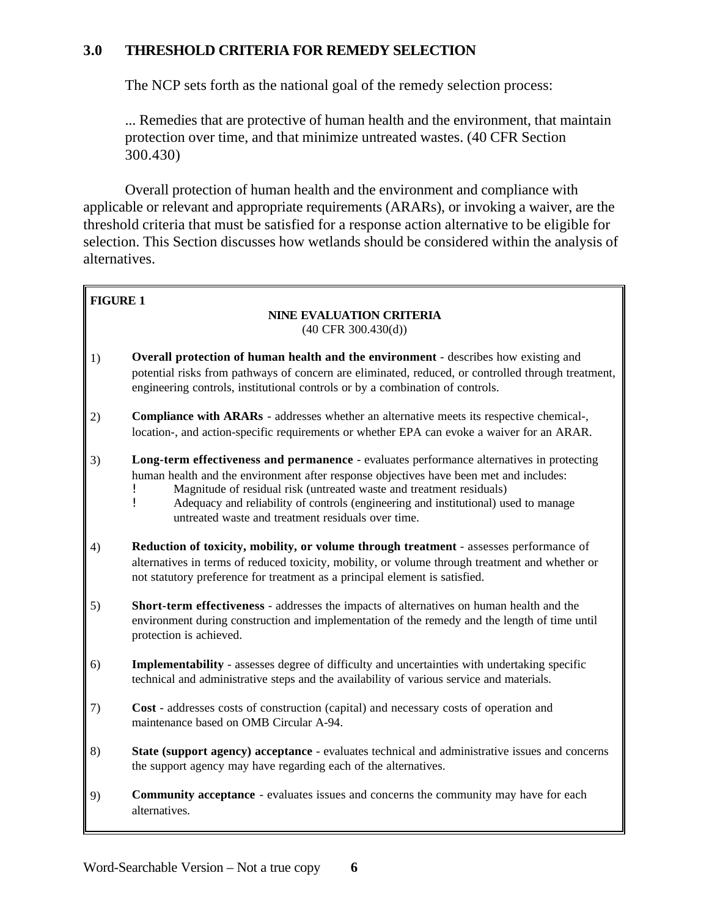# **3.0 THRESHOLD CRITERIA FOR REMEDY SELECTION**

The NCP sets forth as the national goal of the remedy selection process:

... Remedies that are protective of human health and the environment, that maintain protection over time, and that minimize untreated wastes. (40 CFR Section 300.430)

Overall protection of human health and the environment and compliance with applicable or relevant and appropriate requirements (ARARs), or invoking a waiver, are the threshold criteria that must be satisfied for a response action alternative to be eligible for selection. This Section discusses how wetlands should be considered within the analysis of alternatives.

#### **FIGURE 1**

#### **NINE EVALUATION CRITERIA**  (40 CFR 300.430(d))

- 1) **Overall protection of human health and the environment** describes how existing and potential risks from pathways of concern are eliminated, reduced, or controlled through treatment, engineering controls, institutional controls or by a combination of controls.
- 2) **Compliance with ARARs** addresses whether an alternative meets its respective chemical-, location-, and action-specific requirements or whether EPA can evoke a waiver for an ARAR.
- 3) **Long-term effectiveness and permanence**  evaluates performance alternatives in protecting human health and the environment after response objectives have been met and includes:
	- **EXECUTE:** Magnitude of residual risk (untreated waste and treatment residuals)<br>Adequacy and reliability of controls (engineering and institutional) us
	- ! Adequacy and reliability of controls (engineering and institutional) used to manage untreated waste and treatment residuals over time.
- 4) **Reduction of toxicity, mobility, or volume through treatment**  assesses performance of alternatives in terms of reduced toxicity, mobility, or volume through treatment and whether or not statutory preference for treatment as a principal element is satisfied.
- 5) **Short-term effectiveness** addresses the impacts of alternatives on human health and the environment during construction and implementation of the remedy and the length of time until protection is achieved.
- 6) **Implementability** assesses degree of difficulty and uncertainties with undertaking specific technical and administrative steps and the availability of various service and materials.
- 7) **Cost** addresses costs of construction (capital) and necessary costs of operation and maintenance based on OMB Circular A-94.
- 8) **State (support agency) acceptance**  evaluates technical and administrative issues and concerns the support agency may have regarding each of the alternatives.
- 9) **Community acceptance** evaluates issues and concerns the community may have for each alternatives.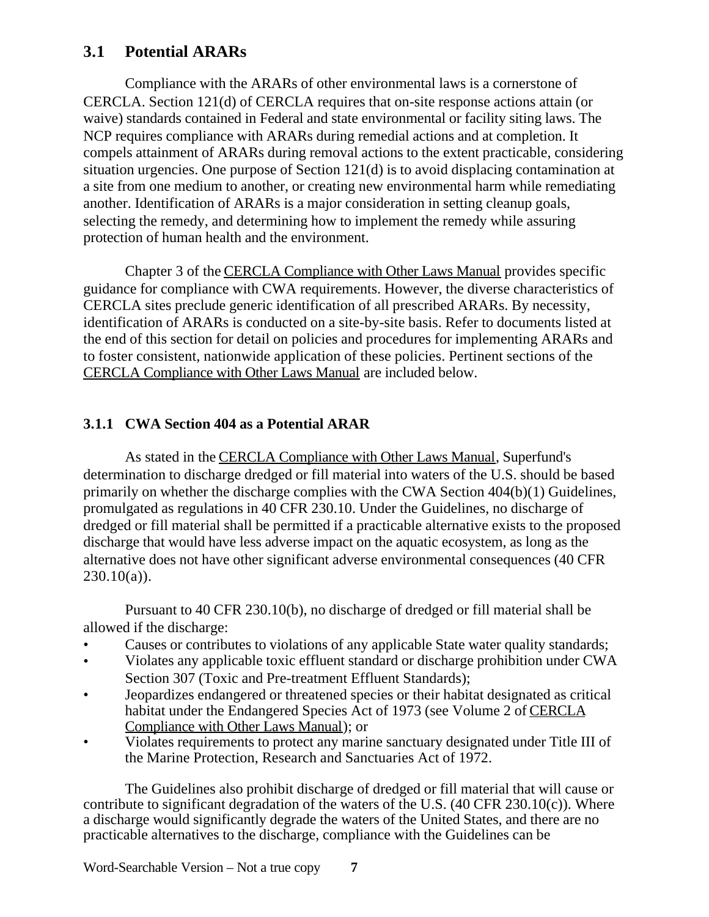# **3.1 Potential ARARs**

Compliance with the ARARs of other environmental laws is a cornerstone of CERCLA. Section 121(d) of CERCLA requires that on-site response actions attain (or waive) standards contained in Federal and state environmental or facility siting laws. The NCP requires compliance with ARARs during remedial actions and at completion. It compels attainment of ARARs during removal actions to the extent practicable, considering situation urgencies. One purpose of Section 121(d) is to avoid displacing contamination at a site from one medium to another, or creating new environmental harm while remediating another. Identification of ARARs is a major consideration in setting cleanup goals, selecting the remedy, and determining how to implement the remedy while assuring protection of human health and the environment.

Chapter 3 of the CERCLA Compliance with Other Laws Manual provides specific guidance for compliance with CWA requirements. However, the diverse characteristics of CERCLA sites preclude generic identification of all prescribed ARARs. By necessity, identification of ARARs is conducted on a site-by-site basis. Refer to documents listed at the end of this section for detail on policies and procedures for implementing ARARs and to foster consistent, nationwide application of these policies. Pertinent sections of the CERCLA Compliance with Other Laws Manual are included below.

# **3.1.1 CWA Section 404 as a Potential ARAR**

As stated in the CERCLA Compliance with Other Laws Manual, Superfund's determination to discharge dredged or fill material into waters of the U.S. should be based primarily on whether the discharge complies with the CWA Section 404(b)(1) Guidelines, promulgated as regulations in 40 CFR 230.10. Under the Guidelines, no discharge of dredged or fill material shall be permitted if a practicable alternative exists to the proposed discharge that would have less adverse impact on the aquatic ecosystem, as long as the alternative does not have other significant adverse environmental consequences (40 CFR  $230.10(a)$ ).

Pursuant to 40 CFR 230.10(b), no discharge of dredged or fill material shall be allowed if the discharge:

- Causes or contributes to violations of any applicable State water quality standards;
- Violates any applicable toxic effluent standard or discharge prohibition under CWA Section 307 (Toxic and Pre-treatment Effluent Standards);
- Jeopardizes endangered or threatened species or their habitat designated as critical habitat under the Endangered Species Act of 1973 (see Volume 2 of CERCLA Compliance with Other Laws Manual); or
- Violates requirements to protect any marine sanctuary designated under Title III of the Marine Protection, Research and Sanctuaries Act of 1972.

The Guidelines also prohibit discharge of dredged or fill material that will cause or contribute to significant degradation of the waters of the U.S.  $(40 \text{ CFR } 230.10(c))$ . Where a discharge would significantly degrade the waters of the United States, and there are no practicable alternatives to the discharge, compliance with the Guidelines can be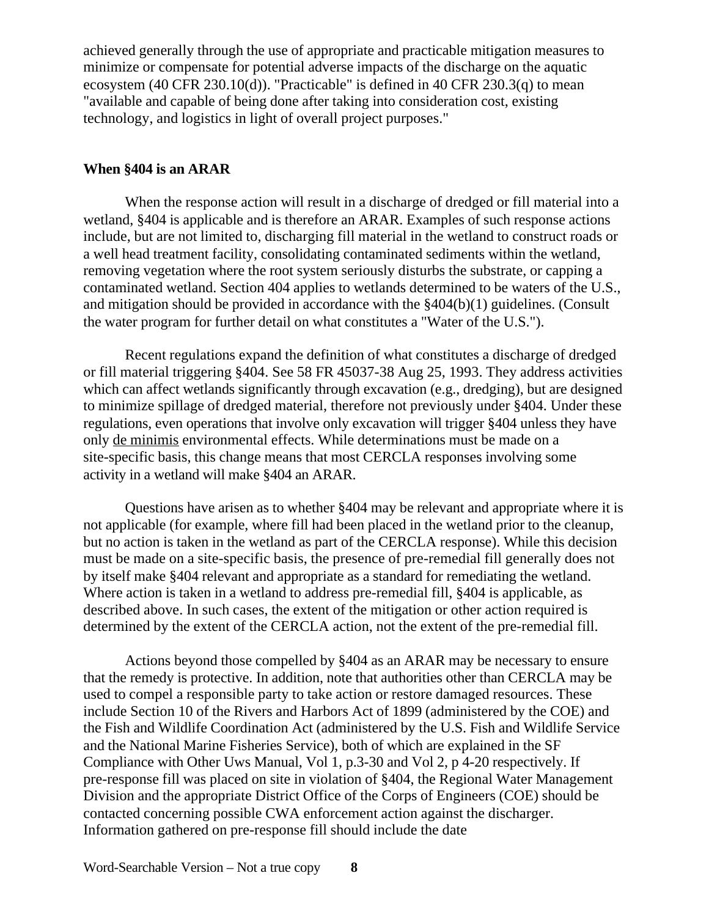achieved generally through the use of appropriate and practicable mitigation measures to minimize or compensate for potential adverse impacts of the discharge on the aquatic ecosystem (40 CFR 230.10(d)). "Practicable" is defined in 40 CFR 230.3(q) to mean "available and capable of being done after taking into consideration cost, existing technology, and logistics in light of overall project purposes."

#### **When §404 is an ARAR**

When the response action will result in a discharge of dredged or fill material into a wetland, \$404 is applicable and is therefore an ARAR. Examples of such response actions include, but are not limited to, discharging fill material in the wetland to construct roads or a well head treatment facility, consolidating contaminated sediments within the wetland, removing vegetation where the root system seriously disturbs the substrate, or capping a contaminated wetland. Section 404 applies to wetlands determined to be waters of the U.S., and mitigation should be provided in accordance with the §404(b)(1) guidelines. (Consult the water program for further detail on what constitutes a "Water of the U.S.").

Recent regulations expand the definition of what constitutes a discharge of dredged or fill material triggering §404. See 58 FR 45037-38 Aug 25, 1993. They address activities which can affect wetlands significantly through excavation (e.g., dredging), but are designed to minimize spillage of dredged material, therefore not previously under §404. Under these regulations, even operations that involve only excavation will trigger §404 unless they have only de minimis environmental effects. While determinations must be made on a site-specific basis, this change means that most CERCLA responses involving some activity in a wetland will make §404 an ARAR.

Questions have arisen as to whether §404 may be relevant and appropriate where it is not applicable (for example, where fill had been placed in the wetland prior to the cleanup, but no action is taken in the wetland as part of the CERCLA response). While this decision must be made on a site-specific basis, the presence of pre-remedial fill generally does not by itself make §404 relevant and appropriate as a standard for remediating the wetland. Where action is taken in a wetland to address pre-remedial fill, §404 is applicable, as described above. In such cases, the extent of the mitigation or other action required is determined by the extent of the CERCLA action, not the extent of the pre-remedial fill.

Actions beyond those compelled by §404 as an ARAR may be necessary to ensure that the remedy is protective. In addition, note that authorities other than CERCLA may be used to compel a responsible party to take action or restore damaged resources. These include Section 10 of the Rivers and Harbors Act of 1899 (administered by the COE) and the Fish and Wildlife Coordination Act (administered by the U.S. Fish and Wildlife Service and the National Marine Fisheries Service), both of which are explained in the SF Compliance with Other Uws Manual, Vol 1, p.3-30 and Vol 2, p 4-20 respectively. If pre-response fill was placed on site in violation of §404, the Regional Water Management Division and the appropriate District Office of the Corps of Engineers (COE) should be contacted concerning possible CWA enforcement action against the discharger. Information gathered on pre-response fill should include the date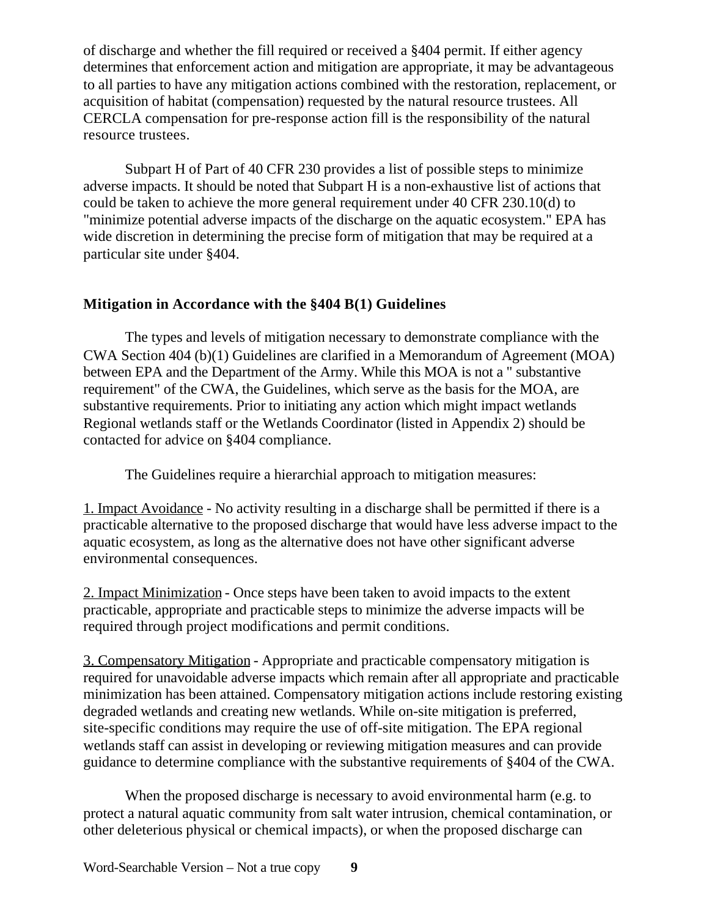of discharge and whether the fill required or received a §404 permit. If either agency determines that enforcement action and mitigation are appropriate, it may be advantageous to all parties to have any mitigation actions combined with the restoration, replacement, or acquisition of habitat (compensation) requested by the natural resource trustees. All CERCLA compensation for pre-response action fill is the responsibility of the natural resource trustees.

Subpart H of Part of 40 CFR 230 provides a list of possible steps to minimize adverse impacts. It should be noted that Subpart H is a non-exhaustive list of actions that could be taken to achieve the more general requirement under 40 CFR 230.10(d) to "minimize potential adverse impacts of the discharge on the aquatic ecosystem." EPA has wide discretion in determining the precise form of mitigation that may be required at a particular site under §404.

# **Mitigation in Accordance with the §404 B(1) Guidelines**

The types and levels of mitigation necessary to demonstrate compliance with the CWA Section 404 (b)(1) Guidelines are clarified in a Memorandum of Agreement (MOA) between EPA and the Department of the Army. While this MOA is not a " substantive requirement" of the CWA, the Guidelines, which serve as the basis for the MOA, are substantive requirements. Prior to initiating any action which might impact wetlands Regional wetlands staff or the Wetlands Coordinator (listed in Appendix 2) should be contacted for advice on §404 compliance.

The Guidelines require a hierarchial approach to mitigation measures:

1. Impact Avoidance - No activity resulting in a discharge shall be permitted if there is a practicable alternative to the proposed discharge that would have less adverse impact to the aquatic ecosystem, as long as the alternative does not have other significant adverse environmental consequences.

2. Impact Minimization - Once steps have been taken to avoid impacts to the extent practicable, appropriate and practicable steps to minimize the adverse impacts will be required through project modifications and permit conditions.

3. Compensatory Mitigation - Appropriate and practicable compensatory mitigation is required for unavoidable adverse impacts which remain after all appropriate and practicable minimization has been attained. Compensatory mitigation actions include restoring existing degraded wetlands and creating new wetlands. While on-site mitigation is preferred, site-specific conditions may require the use of off-site mitigation. The EPA regional wetlands staff can assist in developing or reviewing mitigation measures and can provide guidance to determine compliance with the substantive requirements of §404 of the CWA.

When the proposed discharge is necessary to avoid environmental harm (e.g. to protect a natural aquatic community from salt water intrusion, chemical contamination, or other deleterious physical or chemical impacts), or when the proposed discharge can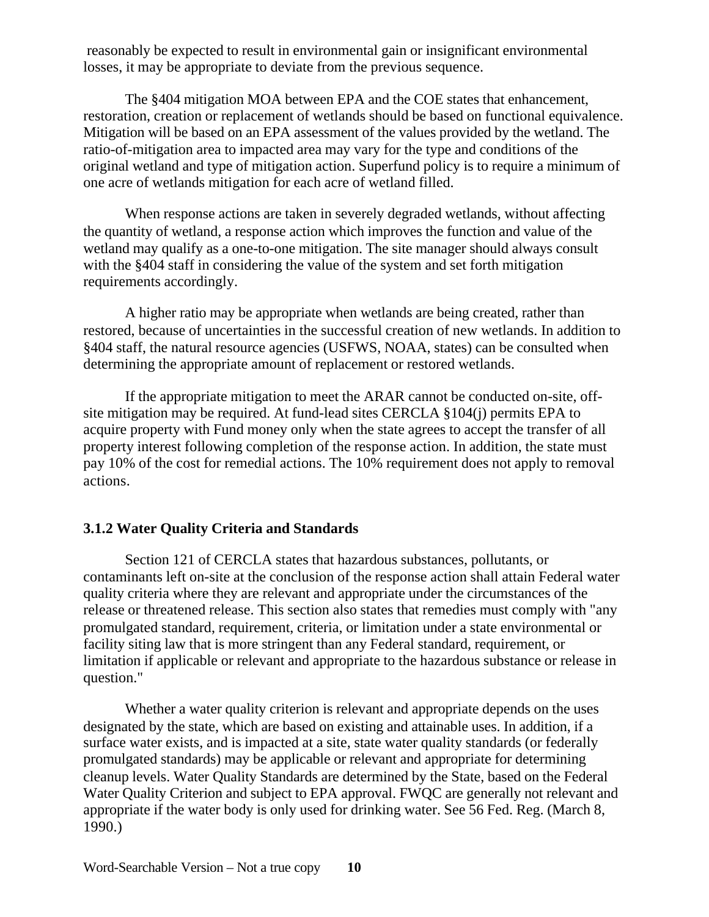reasonably be expected to result in environmental gain or insignificant environmental losses, it may be appropriate to deviate from the previous sequence.

The §404 mitigation MOA between EPA and the COE states that enhancement, restoration, creation or replacement of wetlands should be based on functional equivalence. Mitigation will be based on an EPA assessment of the values provided by the wetland. The ratio-of-mitigation area to impacted area may vary for the type and conditions of the original wetland and type of mitigation action. Superfund policy is to require a minimum of one acre of wetlands mitigation for each acre of wetland filled.

When response actions are taken in severely degraded wetlands, without affecting the quantity of wetland, a response action which improves the function and value of the wetland may qualify as a one-to-one mitigation. The site manager should always consult with the §404 staff in considering the value of the system and set forth mitigation requirements accordingly.

A higher ratio may be appropriate when wetlands are being created, rather than restored, because of uncertainties in the successful creation of new wetlands. In addition to §404 staff, the natural resource agencies (USFWS, NOAA, states) can be consulted when determining the appropriate amount of replacement or restored wetlands.

If the appropriate mitigation to meet the ARAR cannot be conducted on-site, offsite mitigation may be required. At fund-lead sites CERCLA §104(j) permits EPA to acquire property with Fund money only when the state agrees to accept the transfer of all property interest following completion of the response action. In addition, the state must pay 10% of the cost for remedial actions. The 10% requirement does not apply to removal actions.

# **3.1.2 Water Quality Criteria and Standards**

Section 121 of CERCLA states that hazardous substances, pollutants, or contaminants left on-site at the conclusion of the response action shall attain Federal water quality criteria where they are relevant and appropriate under the circumstances of the release or threatened release. This section also states that remedies must comply with "any promulgated standard, requirement, criteria, or limitation under a state environmental or facility siting law that is more stringent than any Federal standard, requirement, or limitation if applicable or relevant and appropriate to the hazardous substance or release in question."

Whether a water quality criterion is relevant and appropriate depends on the uses designated by the state, which are based on existing and attainable uses. In addition, if a surface water exists, and is impacted at a site, state water quality standards (or federally promulgated standards) may be applicable or relevant and appropriate for determining cleanup levels. Water Quality Standards are determined by the State, based on the Federal Water Quality Criterion and subject to EPA approval. FWQC are generally not relevant and appropriate if the water body is only used for drinking water. See 56 Fed. Reg. (March 8, 1990.)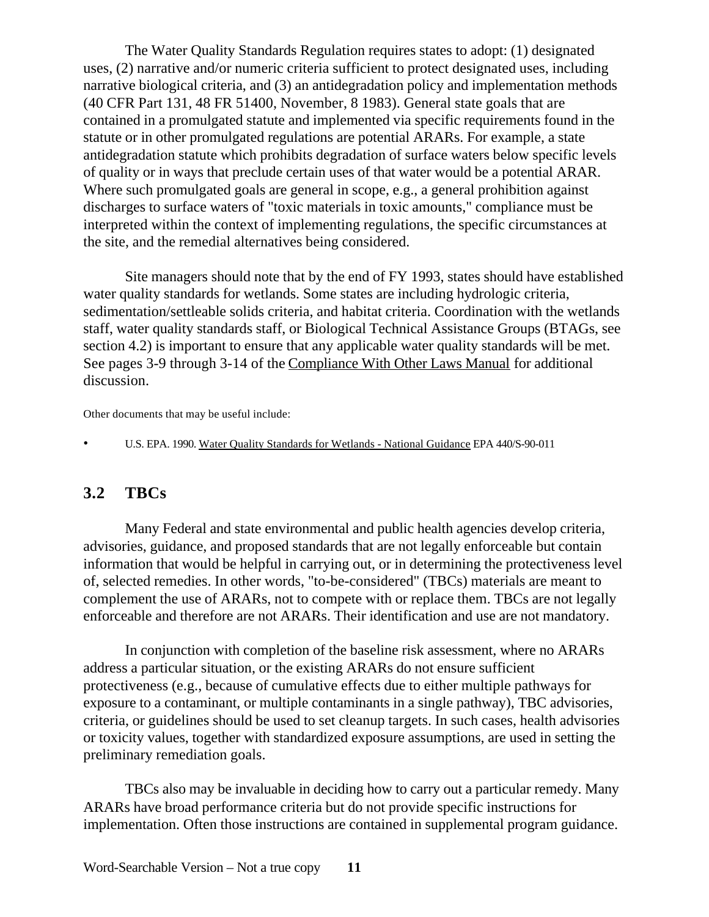The Water Quality Standards Regulation requires states to adopt: (1) designated uses, (2) narrative and/or numeric criteria sufficient to protect designated uses, including narrative biological criteria, and (3) an antidegradation policy and implementation methods (40 CFR Part 131, 48 FR 51400, November, 8 1983). General state goals that are contained in a promulgated statute and implemented via specific requirements found in the statute or in other promulgated regulations are potential ARARs. For example, a state antidegradation statute which prohibits degradation of surface waters below specific levels of quality or in ways that preclude certain uses of that water would be a potential ARAR. Where such promulgated goals are general in scope, e.g., a general prohibition against discharges to surface waters of "toxic materials in toxic amounts," compliance must be interpreted within the context of implementing regulations, the specific circumstances at the site, and the remedial alternatives being considered.

Site managers should note that by the end of FY 1993, states should have established water quality standards for wetlands. Some states are including hydrologic criteria, sedimentation/settleable solids criteria, and habitat criteria. Coordination with the wetlands staff, water quality standards staff, or Biological Technical Assistance Groups (BTAGs, see section 4.2) is important to ensure that any applicable water quality standards will be met. See pages 3-9 through 3-14 of the Compliance With Other Laws Manual for additional discussion.

Other documents that may be useful include:

• U.S. EPA. 1990. Water Quality Standards for Wetlands - National Guidance EPA 440/S-90-011

# **3.2 TBCs**

Many Federal and state environmental and public health agencies develop criteria, advisories, guidance, and proposed standards that are not legally enforceable but contain information that would be helpful in carrying out, or in determining the protectiveness level of, selected remedies. In other words, "to-be-considered" (TBCs) materials are meant to complement the use of ARARs, not to compete with or replace them. TBCs are not legally enforceable and therefore are not ARARs. Their identification and use are not mandatory.

In conjunction with completion of the baseline risk assessment, where no ARARs address a particular situation, or the existing ARARs do not ensure sufficient protectiveness (e.g., because of cumulative effects due to either multiple pathways for exposure to a contaminant, or multiple contaminants in a single pathway), TBC advisories, criteria, or guidelines should be used to set cleanup targets. In such cases, health advisories or toxicity values, together with standardized exposure assumptions, are used in setting the preliminary remediation goals.

TBCs also may be invaluable in deciding how to carry out a particular remedy. Many ARARs have broad performance criteria but do not provide specific instructions for implementation. Often those instructions are contained in supplemental program guidance.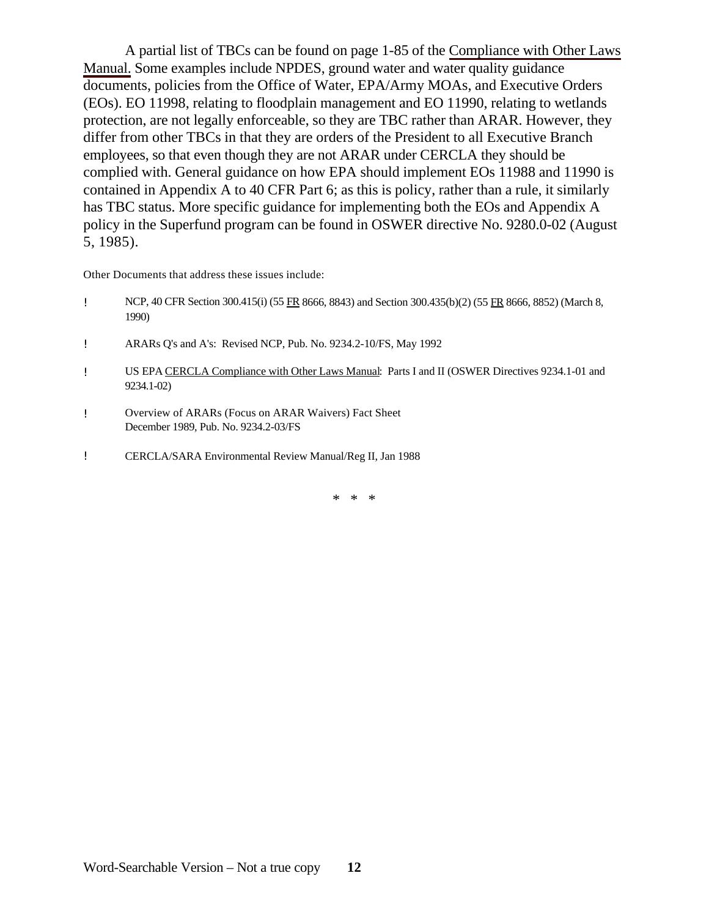A partial list of TBCs can be found on page 1-85 of the Compliance with Other Laws Manual. Some examples include NPDES, ground water and water quality guidance documents, policies from the Office of Water, EPA/Army MOAs, and Executive Orders (EOs). EO 11998, relating to floodplain management and EO 11990, relating to wetlands protection, are not legally enforceable, so they are TBC rather than ARAR. However, they differ from other TBCs in that they are orders of the President to all Executive Branch employees, so that even though they are not ARAR under CERCLA they should be complied with. General guidance on how EPA should implement EOs 11988 and 11990 is contained in Appendix A to 40 CFR Part 6; as this is policy, rather than a rule, it similarly has TBC status. More specific guidance for implementing both the EOs and Appendix A policy in the Superfund program can be found in OSWER directive No. 9280.0-02 (August 5, 1985).

Other Documents that address these issues include:

- ! NCP, 40 CFR Section 300.415(i) (55 FR 8666, 8843) and Section 300.435(b)(2) (55 FR 8666, 8852) (March 8, 1990)
- ! ARARs Q's and A's: Revised NCP, Pub. No. 9234.2-10/FS, May 1992
- ! US EPA CERCLA Compliance with Other Laws Manual: Parts I and II (OSWER Directives 9234.1-01 and 9234.1-02)
- ! Overview of ARARs (Focus on ARAR Waivers) Fact Sheet December 1989, Pub. No. 9234.2-03/FS
- ! CERCLA/SARA Environmental Review Manual/Reg II, Jan 1988

\* \* \*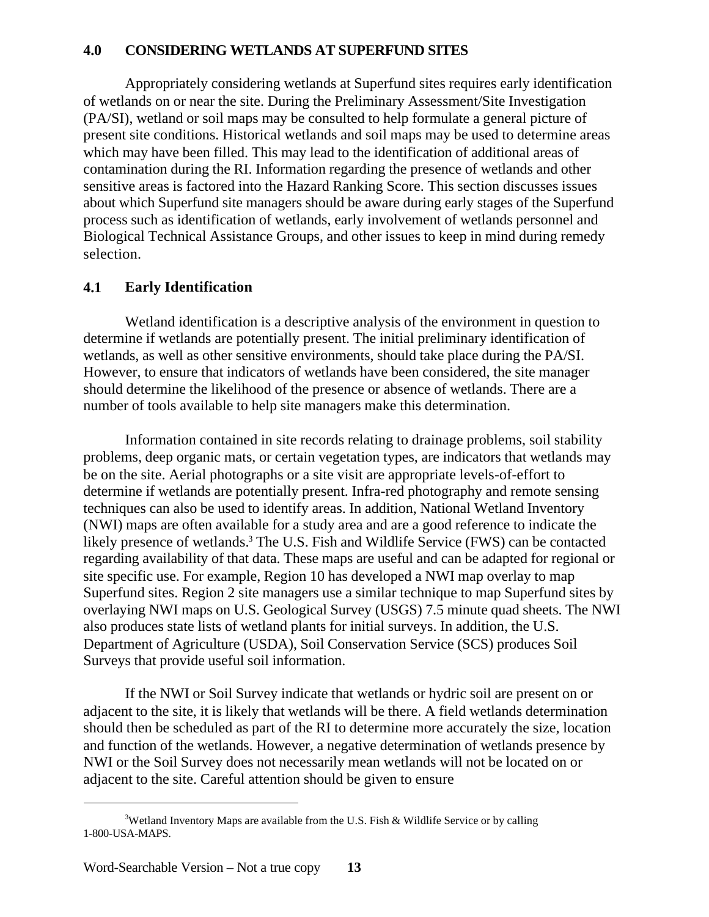### **4.0 CONSIDERING WETLANDS AT SUPERFUND SITES**

Appropriately considering wetlands at Superfund sites requires early identification of wetlands on or near the site. During the Preliminary Assessment/Site Investigation (PA/SI), wetland or soil maps may be consulted to help formulate a general picture of present site conditions. Historical wetlands and soil maps may be used to determine areas which may have been filled. This may lead to the identification of additional areas of contamination during the RI. Information regarding the presence of wetlands and other sensitive areas is factored into the Hazard Ranking Score. This section discusses issues about which Superfund site managers should be aware during early stages of the Superfund process such as identification of wetlands, early involvement of wetlands personnel and Biological Technical Assistance Groups, and other issues to keep in mind during remedy selection.

## **4.1 Early Identification**

Wetland identification is a descriptive analysis of the environment in question to determine if wetlands are potentially present. The initial preliminary identification of wetlands, as well as other sensitive environments, should take place during the PA/SI. However, to ensure that indicators of wetlands have been considered, the site manager should determine the likelihood of the presence or absence of wetlands. There are a number of tools available to help site managers make this determination.

Information contained in site records relating to drainage problems, soil stability problems, deep organic mats, or certain vegetation types, are indicators that wetlands may be on the site. Aerial photographs or a site visit are appropriate levels-of-effort to determine if wetlands are potentially present. Infra-red photography and remote sensing techniques can also be used to identify areas. In addition, National Wetland Inventory (NWI) maps are often available for a study area and are a good reference to indicate the likely presence of wetlands.<sup>3</sup> The U.S. Fish and Wildlife Service (FWS) can be contacted regarding availability of that data. These maps are useful and can be adapted for regional or site specific use. For example, Region 10 has developed a NWI map overlay to map Superfund sites. Region 2 site managers use a similar technique to map Superfund sites by overlaying NWI maps on U.S. Geological Survey (USGS) 7.5 minute quad sheets. The NWI also produces state lists of wetland plants for initial surveys. In addition, the U.S. Department of Agriculture (USDA), Soil Conservation Service (SCS) produces Soil Surveys that provide useful soil information.

If the NWI or Soil Survey indicate that wetlands or hydric soil are present on or adjacent to the site, it is likely that wetlands will be there. A field wetlands determination should then be scheduled as part of the RI to determine more accurately the size, location and function of the wetlands. However, a negative determination of wetlands presence by NWI or the Soil Survey does not necessarily mean wetlands will not be located on or adjacent to the site. Careful attention should be given to ensure

<sup>&</sup>lt;sup>3</sup>Wetland Inventory Maps are available from the U.S. Fish & Wildlife Service or by calling 1-800-USA-MAPS.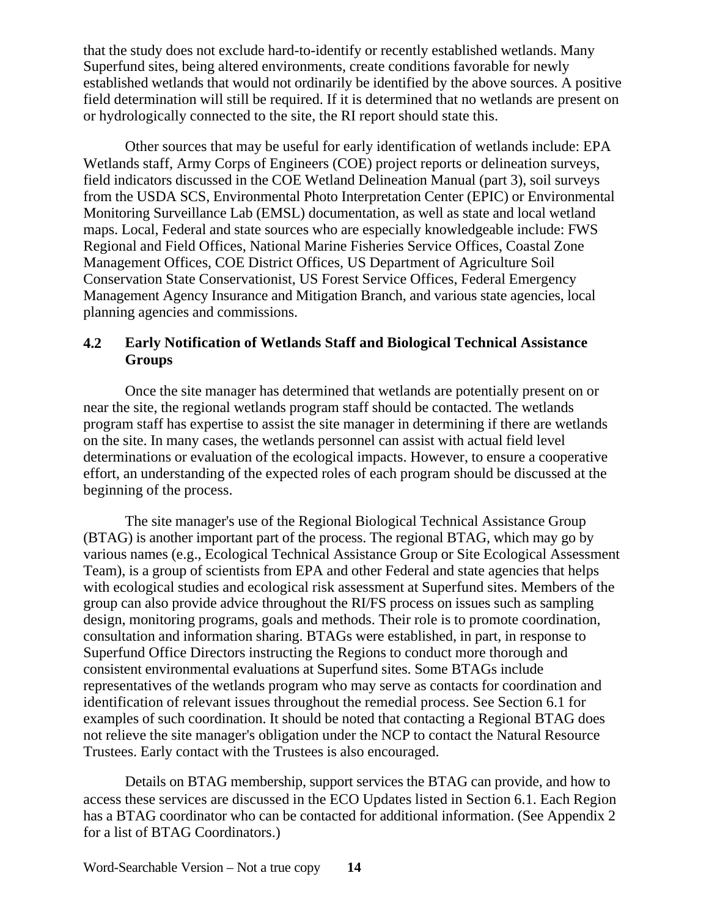that the study does not exclude hard-to-identify or recently established wetlands. Many Superfund sites, being altered environments, create conditions favorable for newly established wetlands that would not ordinarily be identified by the above sources. A positive field determination will still be required. If it is determined that no wetlands are present on or hydrologically connected to the site, the RI report should state this.

Other sources that may be useful for early identification of wetlands include: EPA Wetlands staff, Army Corps of Engineers (COE) project reports or delineation surveys, field indicators discussed in the COE Wetland Delineation Manual (part 3), soil surveys from the USDA SCS, Environmental Photo Interpretation Center (EPIC) or Environmental Monitoring Surveillance Lab (EMSL) documentation, as well as state and local wetland maps. Local, Federal and state sources who are especially knowledgeable include: FWS Regional and Field Offices, National Marine Fisheries Service Offices, Coastal Zone Management Offices, COE District Offices, US Department of Agriculture Soil Conservation State Conservationist, US Forest Service Offices, Federal Emergency Management Agency Insurance and Mitigation Branch, and various state agencies, local planning agencies and commissions.

# **4.2 Early Notification of Wetlands Staff and Biological Technical Assistance Groups**

Once the site manager has determined that wetlands are potentially present on or near the site, the regional wetlands program staff should be contacted. The wetlands program staff has expertise to assist the site manager in determining if there are wetlands on the site. In many cases, the wetlands personnel can assist with actual field level determinations or evaluation of the ecological impacts. However, to ensure a cooperative effort, an understanding of the expected roles of each program should be discussed at the beginning of the process.

The site manager's use of the Regional Biological Technical Assistance Group (BTAG) is another important part of the process. The regional BTAG, which may go by various names (e.g., Ecological Technical Assistance Group or Site Ecological Assessment Team), is a group of scientists from EPA and other Federal and state agencies that helps with ecological studies and ecological risk assessment at Superfund sites. Members of the group can also provide advice throughout the RI/FS process on issues such as sampling design, monitoring programs, goals and methods. Their role is to promote coordination, consultation and information sharing. BTAGs were established, in part, in response to Superfund Office Directors instructing the Regions to conduct more thorough and consistent environmental evaluations at Superfund sites. Some BTAGs include representatives of the wetlands program who may serve as contacts for coordination and identification of relevant issues throughout the remedial process. See Section 6.1 for examples of such coordination. It should be noted that contacting a Regional BTAG does not relieve the site manager's obligation under the NCP to contact the Natural Resource Trustees. Early contact with the Trustees is also encouraged.

Details on BTAG membership, support services the BTAG can provide, and how to access these services are discussed in the ECO Updates listed in Section 6.1. Each Region has a BTAG coordinator who can be contacted for additional information. (See Appendix 2) for a list of BTAG Coordinators.)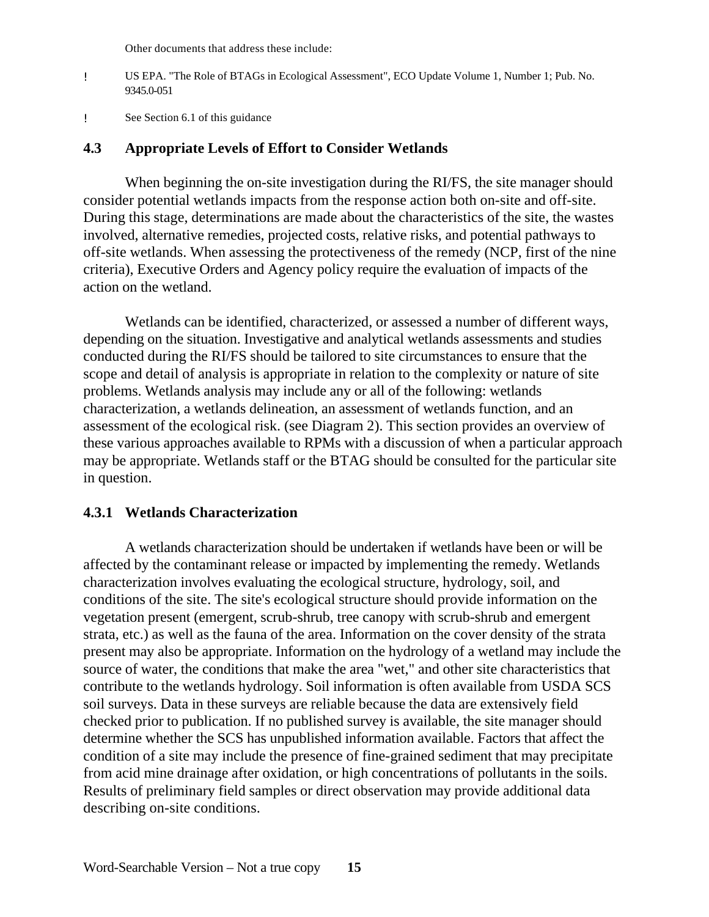Other documents that address these include:

- ! US EPA. "The Role of BTAGs in Ecological Assessment", ECO Update Volume 1, Number 1; Pub. No. 9345.0-051
- ! See Section 6.1 of this guidance

#### **4.3 Appropriate Levels of Effort to Consider Wetlands**

When beginning the on-site investigation during the RI/FS, the site manager should consider potential wetlands impacts from the response action both on-site and off-site. During this stage, determinations are made about the characteristics of the site, the wastes involved, alternative remedies, projected costs, relative risks, and potential pathways to off-site wetlands. When assessing the protectiveness of the remedy (NCP, first of the nine criteria), Executive Orders and Agency policy require the evaluation of impacts of the action on the wetland.

Wetlands can be identified, characterized, or assessed a number of different ways, depending on the situation. Investigative and analytical wetlands assessments and studies conducted during the RI/FS should be tailored to site circumstances to ensure that the scope and detail of analysis is appropriate in relation to the complexity or nature of site problems. Wetlands analysis may include any or all of the following: wetlands characterization, a wetlands delineation, an assessment of wetlands function, and an assessment of the ecological risk. (see Diagram 2). This section provides an overview of these various approaches available to RPMs with a discussion of when a particular approach may be appropriate. Wetlands staff or the BTAG should be consulted for the particular site in question.

#### **4.3.1 Wetlands Characterization**

A wetlands characterization should be undertaken if wetlands have been or will be affected by the contaminant release or impacted by implementing the remedy. Wetlands characterization involves evaluating the ecological structure, hydrology, soil, and conditions of the site. The site's ecological structure should provide information on the vegetation present (emergent, scrub-shrub, tree canopy with scrub-shrub and emergent strata, etc.) as well as the fauna of the area. Information on the cover density of the strata present may also be appropriate. Information on the hydrology of a wetland may include the source of water, the conditions that make the area "wet," and other site characteristics that contribute to the wetlands hydrology. Soil information is often available from USDA SCS soil surveys. Data in these surveys are reliable because the data are extensively field checked prior to publication. If no published survey is available, the site manager should determine whether the SCS has unpublished information available. Factors that affect the condition of a site may include the presence of fine-grained sediment that may precipitate from acid mine drainage after oxidation, or high concentrations of pollutants in the soils. Results of preliminary field samples or direct observation may provide additional data describing on-site conditions.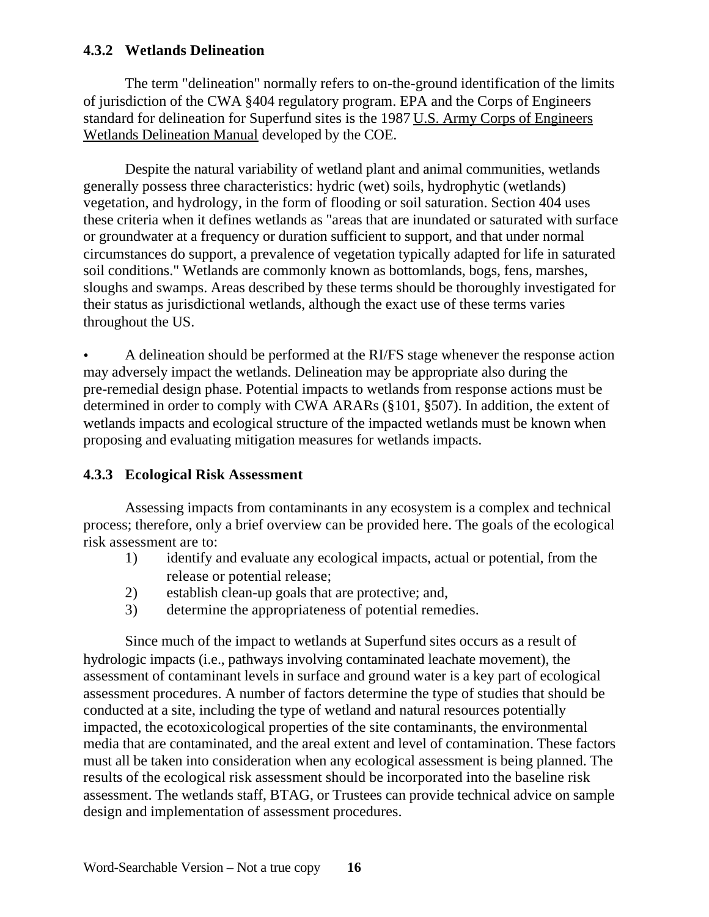# **4.3.2 Wetlands Delineation**

The term "delineation" normally refers to on-the-ground identification of the limits of jurisdiction of the CWA §404 regulatory program. EPA and the Corps of Engineers standard for delineation for Superfund sites is the 1987 U.S. Army Corps of Engineers Wetlands Delineation Manual developed by the COE.

Despite the natural variability of wetland plant and animal communities, wetlands generally possess three characteristics: hydric (wet) soils, hydrophytic (wetlands) vegetation, and hydrology, in the form of flooding or soil saturation. Section 404 uses these criteria when it defines wetlands as "areas that are inundated or saturated with surface or groundwater at a frequency or duration sufficient to support, and that under normal circumstances do support, a prevalence of vegetation typically adapted for life in saturated soil conditions." Wetlands are commonly known as bottomlands, bogs, fens, marshes, sloughs and swamps. Areas described by these terms should be thoroughly investigated for their status as jurisdictional wetlands, although the exact use of these terms varies throughout the US.

• A delineation should be performed at the RI/FS stage whenever the response action may adversely impact the wetlands. Delineation may be appropriate also during the pre-remedial design phase. Potential impacts to wetlands from response actions must be determined in order to comply with CWA ARARs (§101, §507). In addition, the extent of wetlands impacts and ecological structure of the impacted wetlands must be known when proposing and evaluating mitigation measures for wetlands impacts.

# **4.3.3 Ecological Risk Assessment**

Assessing impacts from contaminants in any ecosystem is a complex and technical process; therefore, only a brief overview can be provided here. The goals of the ecological risk assessment are to:

- 1) identify and evaluate any ecological impacts, actual or potential, from the release or potential release;
- 2) establish clean-up goals that are protective; and,
- 3) determine the appropriateness of potential remedies.

Since much of the impact to wetlands at Superfund sites occurs as a result of hydrologic impacts (i.e., pathways involving contaminated leachate movement), the assessment of contaminant levels in surface and ground water is a key part of ecological assessment procedures. A number of factors determine the type of studies that should be conducted at a site, including the type of wetland and natural resources potentially impacted, the ecotoxicological properties of the site contaminants, the environmental media that are contaminated, and the areal extent and level of contamination. These factors must all be taken into consideration when any ecological assessment is being planned. The results of the ecological risk assessment should be incorporated into the baseline risk assessment. The wetlands staff, BTAG, or Trustees can provide technical advice on sample design and implementation of assessment procedures.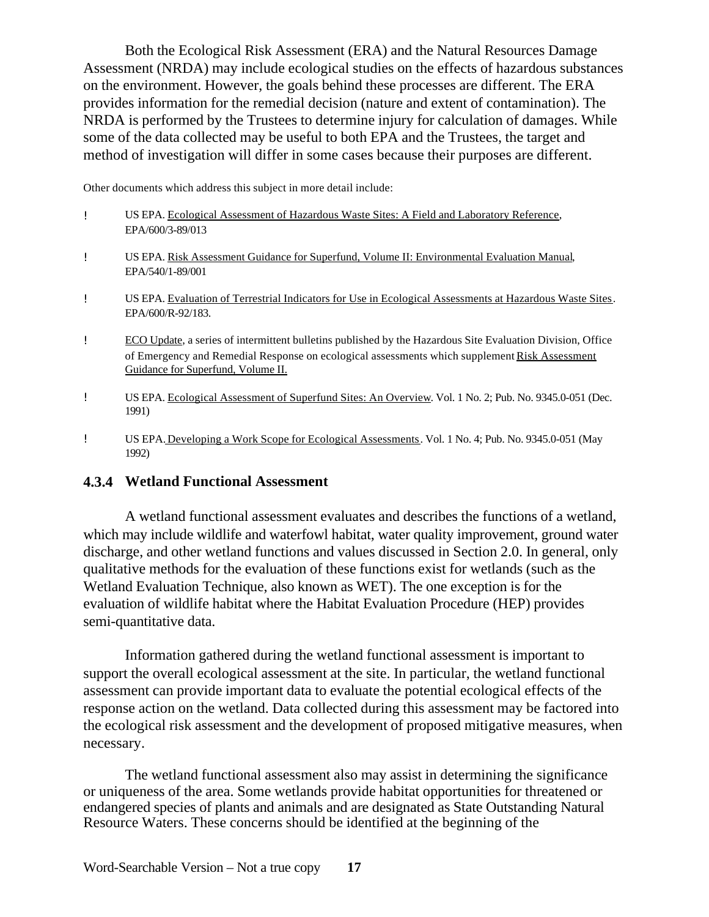Both the Ecological Risk Assessment (ERA) and the Natural Resources Damage Assessment (NRDA) may include ecological studies on the effects of hazardous substances on the environment. However, the goals behind these processes are different. The ERA provides information for the remedial decision (nature and extent of contamination). The NRDA is performed by the Trustees to determine injury for calculation of damages. While some of the data collected may be useful to both EPA and the Trustees, the target and method of investigation will differ in some cases because their purposes are different.

Other documents which address this subject in more detail include:

| Ţ. | US EPA. Ecological Assessment of Hazardous Waste Sites: A Field and Laboratory Reference,<br>EPA/600/3-89/013                                                                                                                                     |
|----|---------------------------------------------------------------------------------------------------------------------------------------------------------------------------------------------------------------------------------------------------|
| Ţ. | US EPA. Risk Assessment Guidance for Superfund, Volume II: Environmental Evaluation Manual,<br>EPA/540/1-89/001                                                                                                                                   |
| U  | US EPA. Evaluation of Terrestrial Indicators for Use in Ecological Assessments at Hazardous Waste Sites.<br>EPA/600/R-92/183.                                                                                                                     |
| Ţ  | ECO Update, a series of intermittent bulletins published by the Hazardous Site Evaluation Division, Office<br>of Emergency and Remedial Response on ecological assessments which supplement Risk Assessment<br>Guidance for Superfund, Volume II. |
|    | US EPA. Ecological Assessment of Superfund Sites: An Overview. Vol. 1 No. 2; Pub. No. 9345.0-051 (Dec.                                                                                                                                            |

! US EPA. Developing a Work Scope for Ecological Assessments. Vol. 1 No. 4; Pub. No. 9345.0-051 (May 1992)

#### **4.3.4 Wetland Functional Assessment**

1991)

A wetland functional assessment evaluates and describes the functions of a wetland, which may include wildlife and waterfowl habitat, water quality improvement, ground water discharge, and other wetland functions and values discussed in Section 2.0. In general, only qualitative methods for the evaluation of these functions exist for wetlands (such as the Wetland Evaluation Technique, also known as WET). The one exception is for the evaluation of wildlife habitat where the Habitat Evaluation Procedure (HEP) provides semi-quantitative data.

Information gathered during the wetland functional assessment is important to support the overall ecological assessment at the site. In particular, the wetland functional assessment can provide important data to evaluate the potential ecological effects of the response action on the wetland. Data collected during this assessment may be factored into the ecological risk assessment and the development of proposed mitigative measures, when necessary.

The wetland functional assessment also may assist in determining the significance or uniqueness of the area. Some wetlands provide habitat opportunities for threatened or endangered species of plants and animals and are designated as State Outstanding Natural Resource Waters. These concerns should be identified at the beginning of the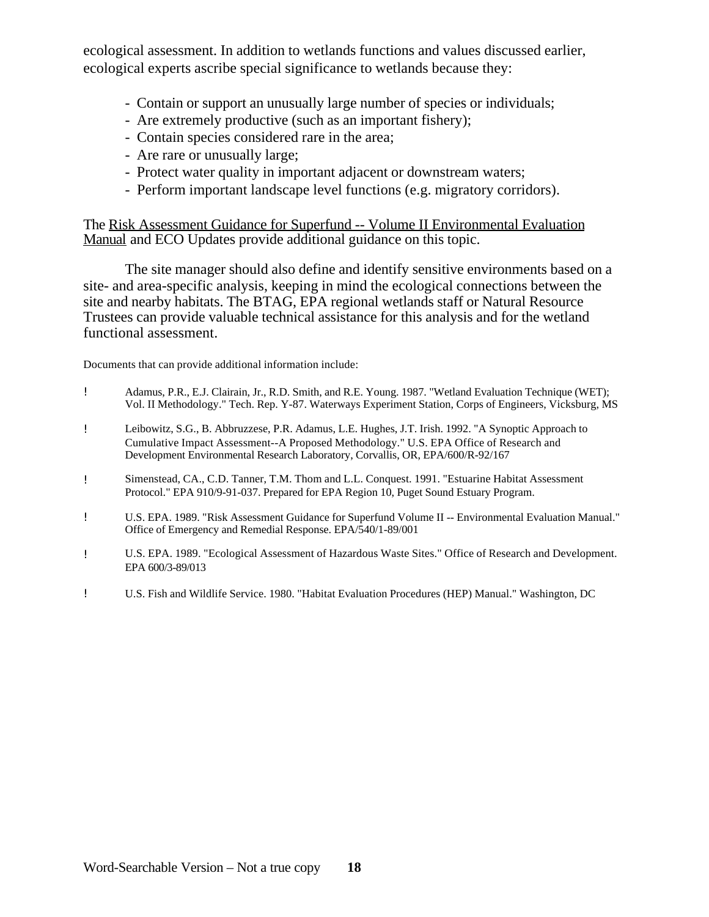ecological assessment. In addition to wetlands functions and values discussed earlier, ecological experts ascribe special significance to wetlands because they:

- Contain or support an unusually large number of species or individuals;
- Are extremely productive (such as an important fishery);
- Contain species considered rare in the area;
- Are rare or unusually large;
- Protect water quality in important adjacent or downstream waters;
- Perform important landscape level functions (e.g. migratory corridors).

The Risk Assessment Guidance for Superfund -- Volume II Environmental Evaluation Manual and ECO Updates provide additional guidance on this topic.

The site manager should also define and identify sensitive environments based on a site- and area-specific analysis, keeping in mind the ecological connections between the site and nearby habitats. The BTAG, EPA regional wetlands staff or Natural Resource Trustees can provide valuable technical assistance for this analysis and for the wetland functional assessment.

Documents that can provide additional information include:

- ! Adamus, P.R., E.J. Clairain, Jr., R.D. Smith, and R.E. Young. 1987. "Wetland Evaluation Technique (WET); Vol. II Methodology." Tech. Rep. Y-87. Waterways Experiment Station, Corps of Engineers, Vicksburg, MS
- ! Leibowitz, S.G., B. Abbruzzese, P.R. Adamus, L.E. Hughes, J.T. Irish. 1992. "A Synoptic Approach to Cumulative Impact Assessment--A Proposed Methodology." U.S. EPA Office of Research and Development Environmental Research Laboratory, Corvallis, OR, EPA/600/R-92/167
- ! Simenstead, CA., C.D. Tanner, T.M. Thom and L.L. Conquest. 1991. "Estuarine Habitat Assessment Protocol." EPA 910/9-91-037. Prepared for EPA Region 10, Puget Sound Estuary Program.
- ! U.S. EPA. 1989. "Risk Assessment Guidance for Superfund Volume II -- Environmental Evaluation Manual." Office of Emergency and Remedial Response. EPA/540/1-89/001
- ! U.S. EPA. 1989. "Ecological Assessment of Hazardous Waste Sites." Office of Research and Development. EPA 600/3-89/013
- ! U.S. Fish and Wildlife Service. 1980. "Habitat Evaluation Procedures (HEP) Manual." Washington, DC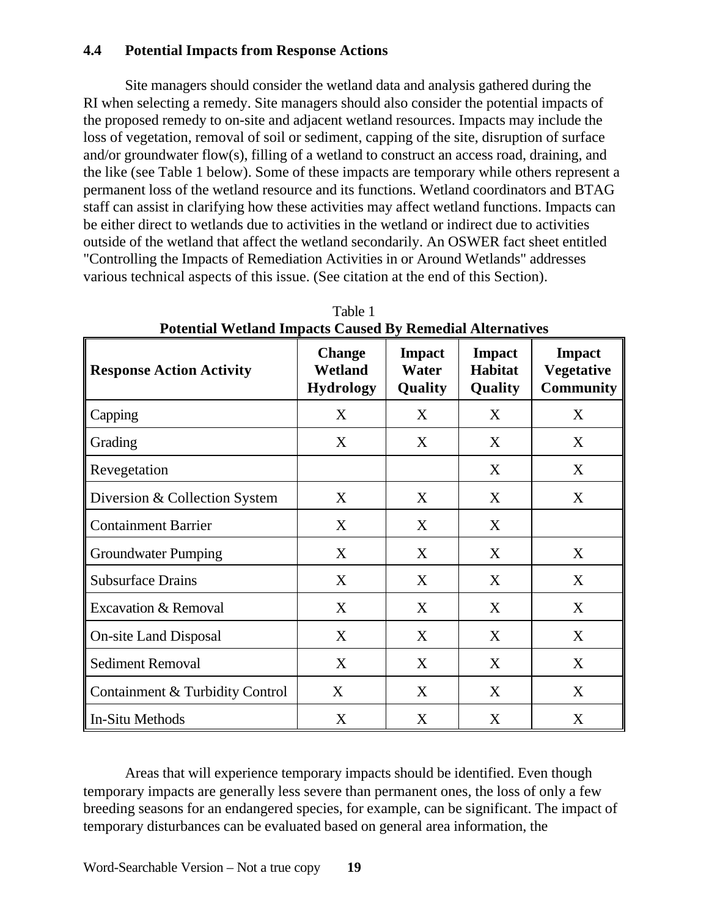# **4.4 Potential Impacts from Response Actions**

Site managers should consider the wetland data and analysis gathered during the RI when selecting a remedy. Site managers should also consider the potential impacts of the proposed remedy to on-site and adjacent wetland resources. Impacts may include the loss of vegetation, removal of soil or sediment, capping of the site, disruption of surface and/or groundwater flow(s), filling of a wetland to construct an access road, draining, and the like (see Table 1 below). Some of these impacts are temporary while others represent a permanent loss of the wetland resource and its functions. Wetland coordinators and BTAG staff can assist in clarifying how these activities may affect wetland functions. Impacts can be either direct to wetlands due to activities in the wetland or indirect due to activities outside of the wetland that affect the wetland secondarily. An OSWER fact sheet entitled "Controlling the Impacts of Remediation Activities in or Around Wetlands" addresses various technical aspects of this issue. (See citation at the end of this Section).

| <b>Response Action Activity</b> | <b>Change</b><br>Wetland<br><b>Hydrology</b> | <b>Impact</b><br>Water<br>Quality | <b>Impact</b><br><b>Habitat</b><br>Quality | <b>Impact</b><br><b>Vegetative</b><br><b>Community</b> |
|---------------------------------|----------------------------------------------|-----------------------------------|--------------------------------------------|--------------------------------------------------------|
| Capping                         | X                                            | X                                 | X                                          | X                                                      |
| Grading                         | X                                            | X                                 | X                                          | X                                                      |
| Revegetation                    |                                              |                                   | X                                          | X                                                      |
| Diversion & Collection System   | X                                            | X                                 | X                                          | X                                                      |
| <b>Containment Barrier</b>      | X                                            | X                                 | X                                          |                                                        |
| <b>Groundwater Pumping</b>      | X                                            | X                                 | X                                          | X                                                      |
| <b>Subsurface Drains</b>        | X                                            | X                                 | X                                          | X                                                      |
| <b>Excavation &amp; Removal</b> | X                                            | X                                 | X                                          | X                                                      |
| <b>On-site Land Disposal</b>    | X                                            | X                                 | X                                          | X                                                      |
| <b>Sediment Removal</b>         | X                                            | X                                 | X                                          | X                                                      |
| Containment & Turbidity Control | X                                            | X                                 | X                                          | X                                                      |
| In-Situ Methods                 | X                                            | X                                 | X                                          | X                                                      |

Table 1 **Potential Wetland Impacts Caused By Remedial Alternatives** 

Areas that will experience temporary impacts should be identified. Even though temporary impacts are generally less severe than permanent ones, the loss of only a few breeding seasons for an endangered species, for example, can be significant. The impact of temporary disturbances can be evaluated based on general area information, the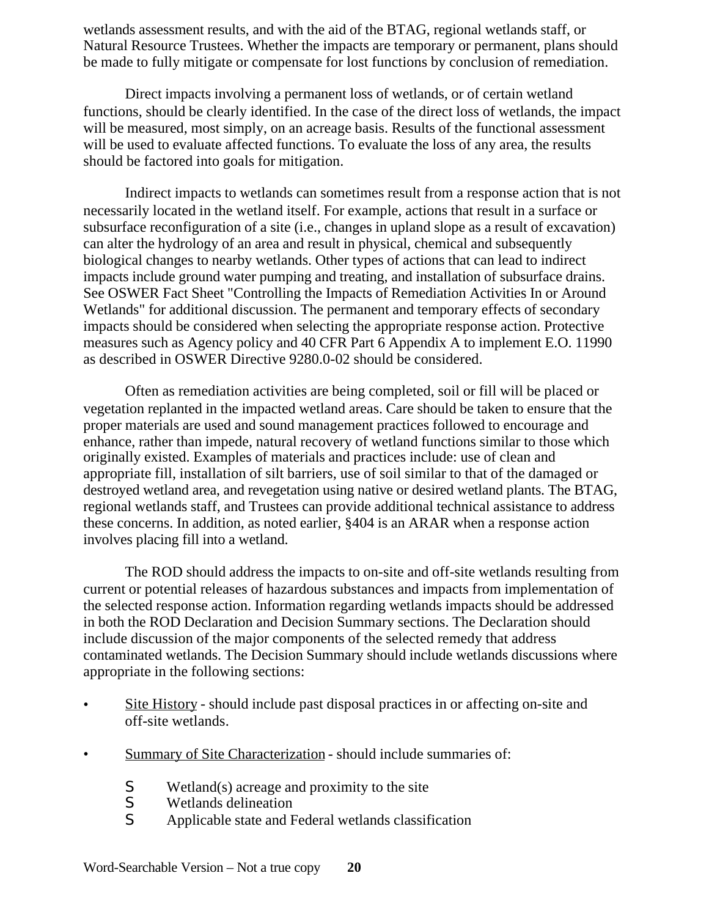wetlands assessment results, and with the aid of the BTAG, regional wetlands staff, or Natural Resource Trustees. Whether the impacts are temporary or permanent, plans should be made to fully mitigate or compensate for lost functions by conclusion of remediation.

Direct impacts involving a permanent loss of wetlands, or of certain wetland functions, should be clearly identified. In the case of the direct loss of wetlands, the impact will be measured, most simply, on an acreage basis. Results of the functional assessment will be used to evaluate affected functions. To evaluate the loss of any area, the results should be factored into goals for mitigation.

Indirect impacts to wetlands can sometimes result from a response action that is not necessarily located in the wetland itself. For example, actions that result in a surface or subsurface reconfiguration of a site (i.e., changes in upland slope as a result of excavation) can alter the hydrology of an area and result in physical, chemical and subsequently biological changes to nearby wetlands. Other types of actions that can lead to indirect impacts include ground water pumping and treating, and installation of subsurface drains. See OSWER Fact Sheet "Controlling the Impacts of Remediation Activities In or Around Wetlands" for additional discussion. The permanent and temporary effects of secondary impacts should be considered when selecting the appropriate response action. Protective measures such as Agency policy and 40 CFR Part 6 Appendix A to implement E.O. 11990 as described in OSWER Directive 9280.0-02 should be considered.

Often as remediation activities are being completed, soil or fill will be placed or vegetation replanted in the impacted wetland areas. Care should be taken to ensure that the proper materials are used and sound management practices followed to encourage and enhance, rather than impede, natural recovery of wetland functions similar to those which originally existed. Examples of materials and practices include: use of clean and appropriate fill, installation of silt barriers, use of soil similar to that of the damaged or destroyed wetland area, and revegetation using native or desired wetland plants. The BTAG, regional wetlands staff, and Trustees can provide additional technical assistance to address these concerns. In addition, as noted earlier, §404 is an ARAR when a response action involves placing fill into a wetland.

The ROD should address the impacts to on-site and off-site wetlands resulting from current or potential releases of hazardous substances and impacts from implementation of the selected response action. Information regarding wetlands impacts should be addressed in both the ROD Declaration and Decision Summary sections. The Declaration should include discussion of the major components of the selected remedy that address contaminated wetlands. The Decision Summary should include wetlands discussions where appropriate in the following sections:

- Site History should include past disposal practices in or affecting on-site and off-site wetlands.
- Summary of Site Characterization should include summaries of:
	- S Wetland(s) acreage and proximity to the site<br>S Wetlands delineation
	- Wetlands delineation
	- S Applicable state and Federal wetlands classification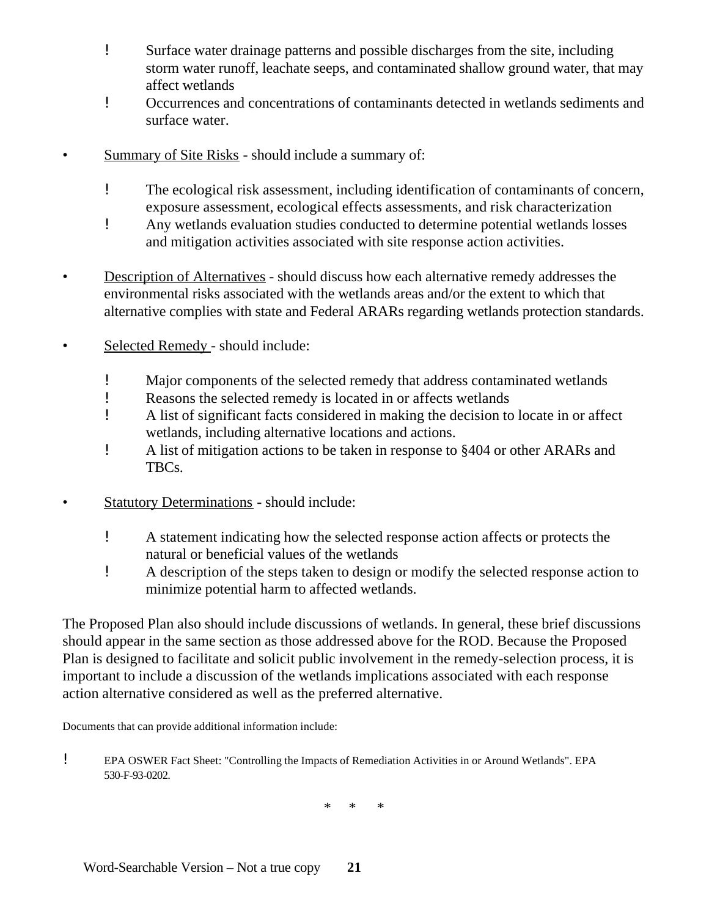- ! Surface water drainage patterns and possible discharges from the site, including storm water runoff, leachate seeps, and contaminated shallow ground water, that may affect wetlands
- ! Occurrences and concentrations of contaminants detected in wetlands sediments and surface water.
- Summary of Site Risks should include a summary of:
	- ! The ecological risk assessment, including identification of contaminants of concern, exposure assessment, ecological effects assessments, and risk characterization
	- ! Any wetlands evaluation studies conducted to determine potential wetlands losses and mitigation activities associated with site response action activities.
- Description of Alternatives should discuss how each alternative remedy addresses the environmental risks associated with the wetlands areas and/or the extent to which that alternative complies with state and Federal ARARs regarding wetlands protection standards.
- Selected Remedy should include:
	- ! Major components of the selected remedy that address contaminated wetlands
	- ! Reasons the selected remedy is located in or affects wetlands
	- ! A list of significant facts considered in making the decision to locate in or affect wetlands, including alternative locations and actions.
	- ! A list of mitigation actions to be taken in response to §404 or other ARARs and TBCs.
- Statutory Determinations should include:
	- ! A statement indicating how the selected response action affects or protects the natural or beneficial values of the wetlands
	- ! A description of the steps taken to design or modify the selected response action to minimize potential harm to affected wetlands.

The Proposed Plan also should include discussions of wetlands. In general, these brief discussions should appear in the same section as those addressed above for the ROD. Because the Proposed Plan is designed to facilitate and solicit public involvement in the remedy-selection process, it is important to include a discussion of the wetlands implications associated with each response action alternative considered as well as the preferred alternative.

Documents that can provide additional information include:

! EPA OSWER Fact Sheet: "Controlling the Impacts of Remediation Activities in or Around Wetlands". EPA 530-F-93-0202.

\* \* \*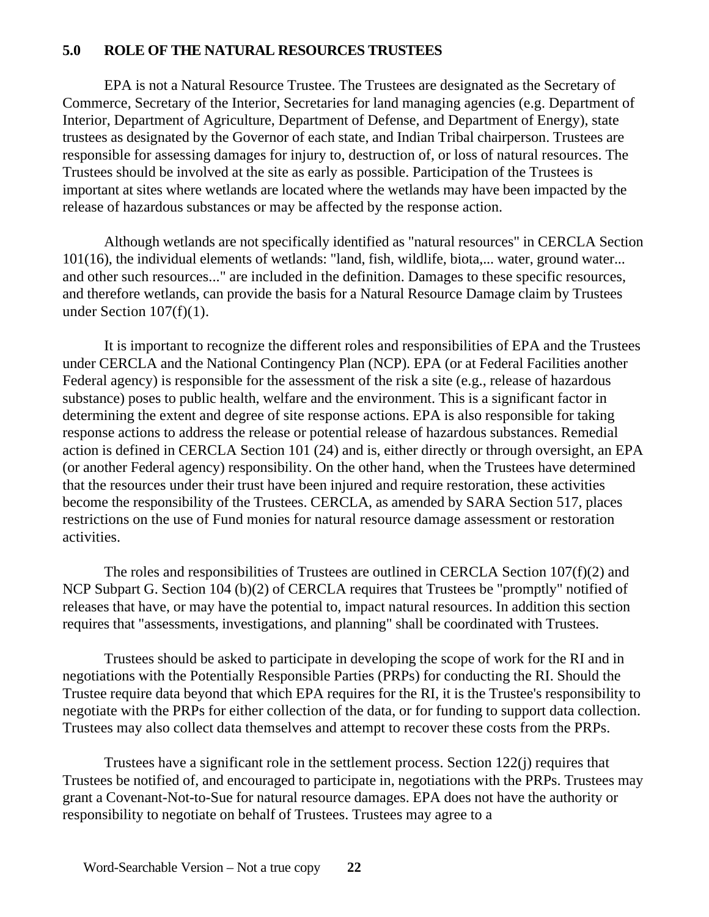# **5.0 ROLE OF THE NATURAL RESOURCES TRUSTEES**

EPA is not a Natural Resource Trustee. The Trustees are designated as the Secretary of Commerce, Secretary of the Interior, Secretaries for land managing agencies (e.g. Department of Interior, Department of Agriculture, Department of Defense, and Department of Energy), state trustees as designated by the Governor of each state, and Indian Tribal chairperson. Trustees are responsible for assessing damages for injury to, destruction of, or loss of natural resources. The Trustees should be involved at the site as early as possible. Participation of the Trustees is important at sites where wetlands are located where the wetlands may have been impacted by the release of hazardous substances or may be affected by the response action.

Although wetlands are not specifically identified as "natural resources" in CERCLA Section 101(16), the individual elements of wetlands: "land, fish, wildlife, biota,... water, ground water... and other such resources..." are included in the definition. Damages to these specific resources, and therefore wetlands, can provide the basis for a Natural Resource Damage claim by Trustees under Section  $107(f)(1)$ .

It is important to recognize the different roles and responsibilities of EPA and the Trustees under CERCLA and the National Contingency Plan (NCP). EPA (or at Federal Facilities another Federal agency) is responsible for the assessment of the risk a site (e.g., release of hazardous substance) poses to public health, welfare and the environment. This is a significant factor in determining the extent and degree of site response actions. EPA is also responsible for taking response actions to address the release or potential release of hazardous substances. Remedial action is defined in CERCLA Section 101 (24) and is, either directly or through oversight, an EPA (or another Federal agency) responsibility. On the other hand, when the Trustees have determined that the resources under their trust have been injured and require restoration, these activities become the responsibility of the Trustees. CERCLA, as amended by SARA Section 517, places restrictions on the use of Fund monies for natural resource damage assessment or restoration activities.

The roles and responsibilities of Trustees are outlined in CERCLA Section 107(f)(2) and NCP Subpart G. Section 104 (b)(2) of CERCLA requires that Trustees be "promptly" notified of releases that have, or may have the potential to, impact natural resources. In addition this section requires that "assessments, investigations, and planning" shall be coordinated with Trustees.

Trustees should be asked to participate in developing the scope of work for the RI and in negotiations with the Potentially Responsible Parties (PRPs) for conducting the RI. Should the Trustee require data beyond that which EPA requires for the RI, it is the Trustee's responsibility to negotiate with the PRPs for either collection of the data, or for funding to support data collection. Trustees may also collect data themselves and attempt to recover these costs from the PRPs.

Trustees have a significant role in the settlement process. Section 122(j) requires that Trustees be notified of, and encouraged to participate in, negotiations with the PRPs. Trustees may grant a Covenant-Not-to-Sue for natural resource damages. EPA does not have the authority or responsibility to negotiate on behalf of Trustees. Trustees may agree to a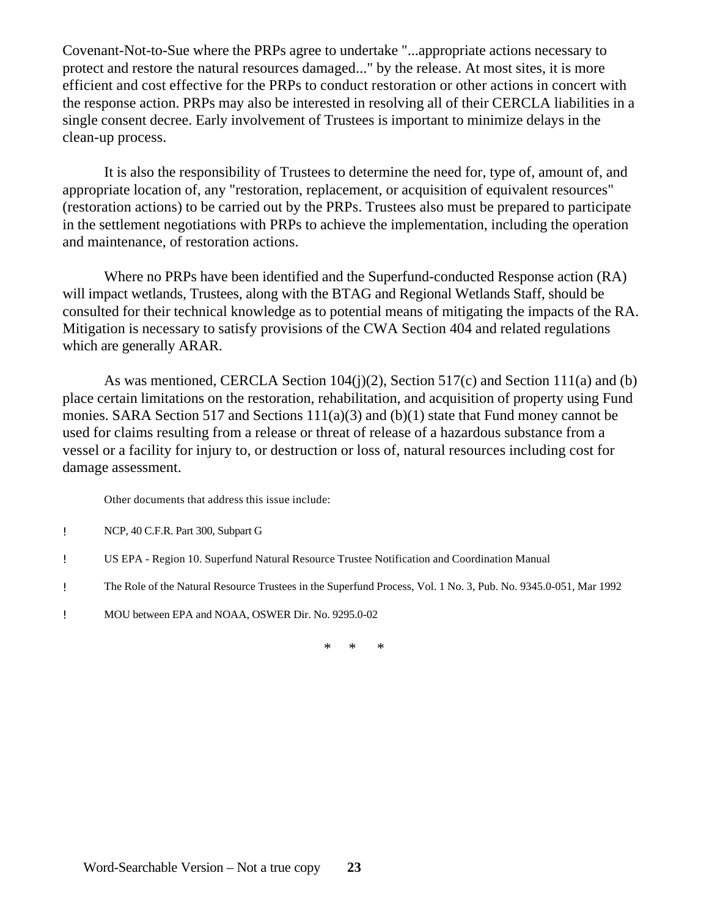Covenant-Not-to-Sue where the PRPs agree to undertake "...appropriate actions necessary to protect and restore the natural resources damaged..." by the release. At most sites, it is more efficient and cost effective for the PRPs to conduct restoration or other actions in concert with the response action. PRPs may also be interested in resolving all of their CERCLA liabilities in a single consent decree. Early involvement of Trustees is important to minimize delays in the clean-up process.

It is also the responsibility of Trustees to determine the need for, type of, amount of, and appropriate location of, any "restoration, replacement, or acquisition of equivalent resources" (restoration actions) to be carried out by the PRPs. Trustees also must be prepared to participate in the settlement negotiations with PRPs to achieve the implementation, including the operation and maintenance, of restoration actions.

Where no PRPs have been identified and the Superfund-conducted Response action (RA) will impact wetlands, Trustees, along with the BTAG and Regional Wetlands Staff, should be consulted for their technical knowledge as to potential means of mitigating the impacts of the RA. Mitigation is necessary to satisfy provisions of the CWA Section 404 and related regulations which are generally ARAR.

As was mentioned, CERCLA Section 104(j)(2), Section 517(c) and Section 111(a) and (b) place certain limitations on the restoration, rehabilitation, and acquisition of property using Fund monies. SARA Section 517 and Sections 111(a)(3) and (b)(1) state that Fund money cannot be used for claims resulting from a release or threat of release of a hazardous substance from a vessel or a facility for injury to, or destruction or loss of, natural resources including cost for damage assessment.

Other documents that address this issue include:

- ! NCP, 40 C.F.R. Part 300, Subpart G
- ! US EPA Region 10. Superfund Natural Resource Trustee Notification and Coordination Manual
- ! The Role of the Natural Resource Trustees in the Superfund Process, Vol. 1 No. 3, Pub. No. 9345.0-051, Mar 1992
- ! MOU between EPA and NOAA, OSWER Dir. No. 9295.0-02

\* \* \*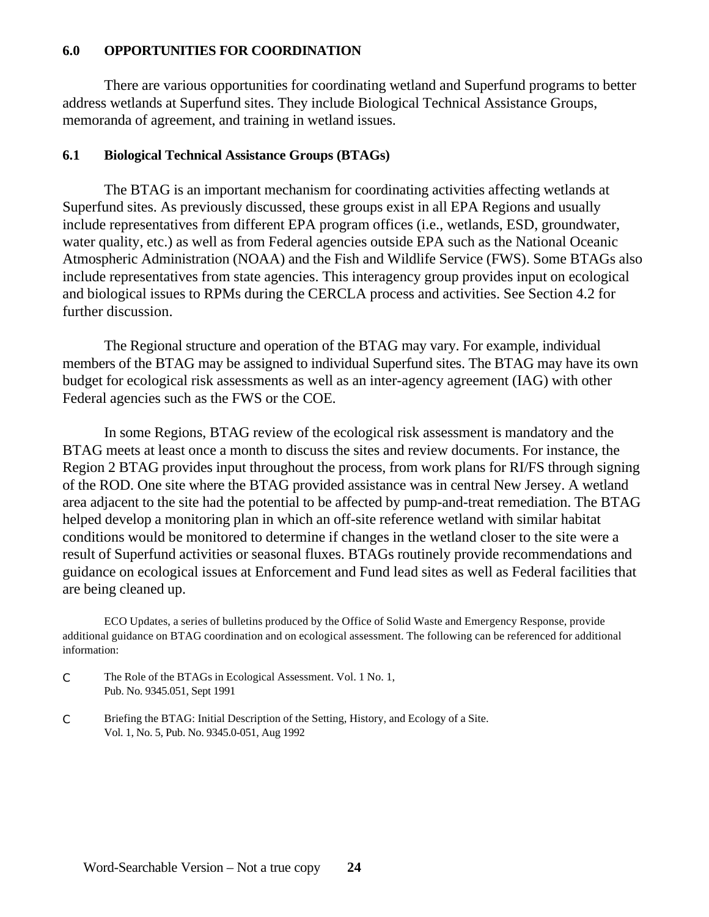#### **6.0 OPPORTUNITIES FOR COORDINATION**

There are various opportunities for coordinating wetland and Superfund programs to better address wetlands at Superfund sites. They include Biological Technical Assistance Groups, memoranda of agreement, and training in wetland issues.

#### **6.1 Biological Technical Assistance Groups (BTAGs)**

The BTAG is an important mechanism for coordinating activities affecting wetlands at Superfund sites. As previously discussed, these groups exist in all EPA Regions and usually include representatives from different EPA program offices (i.e., wetlands, ESD, groundwater, water quality, etc.) as well as from Federal agencies outside EPA such as the National Oceanic Atmospheric Administration (NOAA) and the Fish and Wildlife Service (FWS). Some BTAGs also include representatives from state agencies. This interagency group provides input on ecological and biological issues to RPMs during the CERCLA process and activities. See Section 4.2 for further discussion.

The Regional structure and operation of the BTAG may vary. For example, individual members of the BTAG may be assigned to individual Superfund sites. The BTAG may have its own budget for ecological risk assessments as well as an inter-agency agreement (IAG) with other Federal agencies such as the FWS or the COE.

In some Regions, BTAG review of the ecological risk assessment is mandatory and the BTAG meets at least once a month to discuss the sites and review documents. For instance, the Region 2 BTAG provides input throughout the process, from work plans for RI/FS through signing of the ROD. One site where the BTAG provided assistance was in central New Jersey. A wetland area adjacent to the site had the potential to be affected by pump-and-treat remediation. The BTAG helped develop a monitoring plan in which an off-site reference wetland with similar habitat conditions would be monitored to determine if changes in the wetland closer to the site were a result of Superfund activities or seasonal fluxes. BTAGs routinely provide recommendations and guidance on ecological issues at Enforcement and Fund lead sites as well as Federal facilities that are being cleaned up.

ECO Updates, a series of bulletins produced by the Office of Solid Waste and Emergency Response, provide additional guidance on BTAG coordination and on ecological assessment. The following can be referenced for additional information:

- C The Role of the BTAGs in Ecological Assessment. Vol. 1 No. 1, Pub. No. 9345.051, Sept 1991
- C Briefing the BTAG: Initial Description of the Setting, History, and Ecology of a Site. Vol. 1, No. 5, Pub. No. 9345.0-051, Aug 1992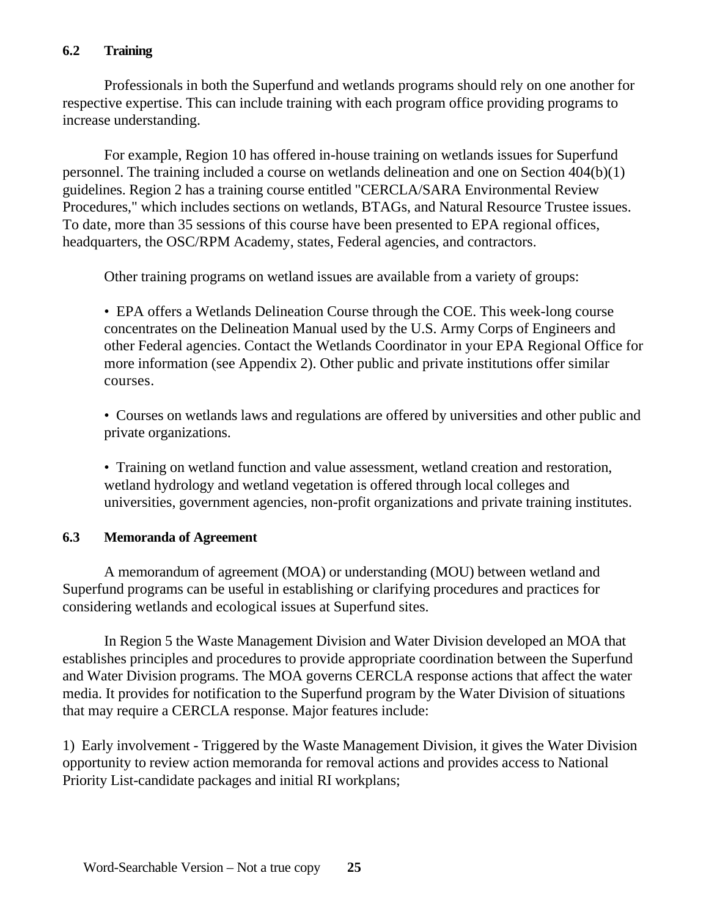## **6.2 Training**

Professionals in both the Superfund and wetlands programs should rely on one another for respective expertise. This can include training with each program office providing programs to increase understanding.

For example, Region 10 has offered in-house training on wetlands issues for Superfund personnel. The training included a course on wetlands delineation and one on Section 404(b)(1) guidelines. Region 2 has a training course entitled "CERCLA/SARA Environmental Review Procedures," which includes sections on wetlands, BTAGs, and Natural Resource Trustee issues. To date, more than 35 sessions of this course have been presented to EPA regional offices, headquarters, the OSC/RPM Academy, states, Federal agencies, and contractors.

Other training programs on wetland issues are available from a variety of groups:

• EPA offers a Wetlands Delineation Course through the COE. This week-long course concentrates on the Delineation Manual used by the U.S. Army Corps of Engineers and other Federal agencies. Contact the Wetlands Coordinator in your EPA Regional Office for more information (see Appendix 2). Other public and private institutions offer similar courses.

• Courses on wetlands laws and regulations are offered by universities and other public and private organizations.

• Training on wetland function and value assessment, wetland creation and restoration, wetland hydrology and wetland vegetation is offered through local colleges and universities, government agencies, non-profit organizations and private training institutes.

#### **6.3 Memoranda of Agreement**

A memorandum of agreement (MOA) or understanding (MOU) between wetland and Superfund programs can be useful in establishing or clarifying procedures and practices for considering wetlands and ecological issues at Superfund sites.

In Region 5 the Waste Management Division and Water Division developed an MOA that establishes principles and procedures to provide appropriate coordination between the Superfund and Water Division programs. The MOA governs CERCLA response actions that affect the water media. It provides for notification to the Superfund program by the Water Division of situations that may require a CERCLA response. Major features include:

1) Early involvement - Triggered by the Waste Management Division, it gives the Water Division opportunity to review action memoranda for removal actions and provides access to National Priority List-candidate packages and initial RI workplans;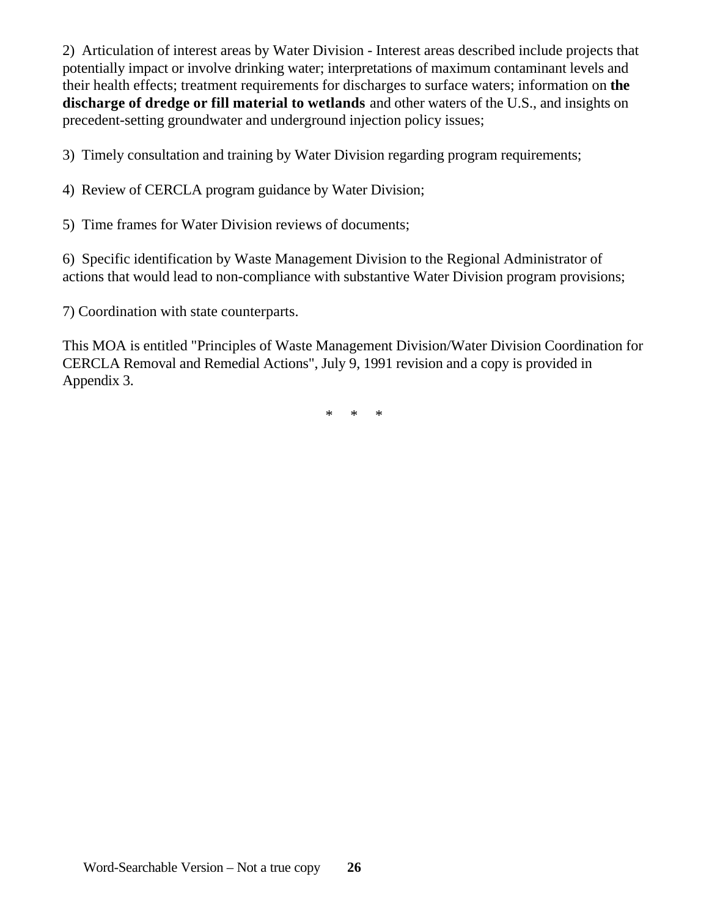2) Articulation of interest areas by Water Division - Interest areas described include projects that potentially impact or involve drinking water; interpretations of maximum contaminant levels and their health effects; treatment requirements for discharges to surface waters; information on **the discharge of dredge or fill material to wetlands** and other waters of the U.S., and insights on precedent-setting groundwater and underground injection policy issues;

3) Timely consultation and training by Water Division regarding program requirements;

4) Review of CERCLA program guidance by Water Division;

5) Time frames for Water Division reviews of documents;

6) Specific identification by Waste Management Division to the Regional Administrator of actions that would lead to non-compliance with substantive Water Division program provisions;

7) Coordination with state counterparts.

This MOA is entitled "Principles of Waste Management Division/Water Division Coordination for CERCLA Removal and Remedial Actions", July 9, 1991 revision and a copy is provided in Appendix 3.

\* \* \*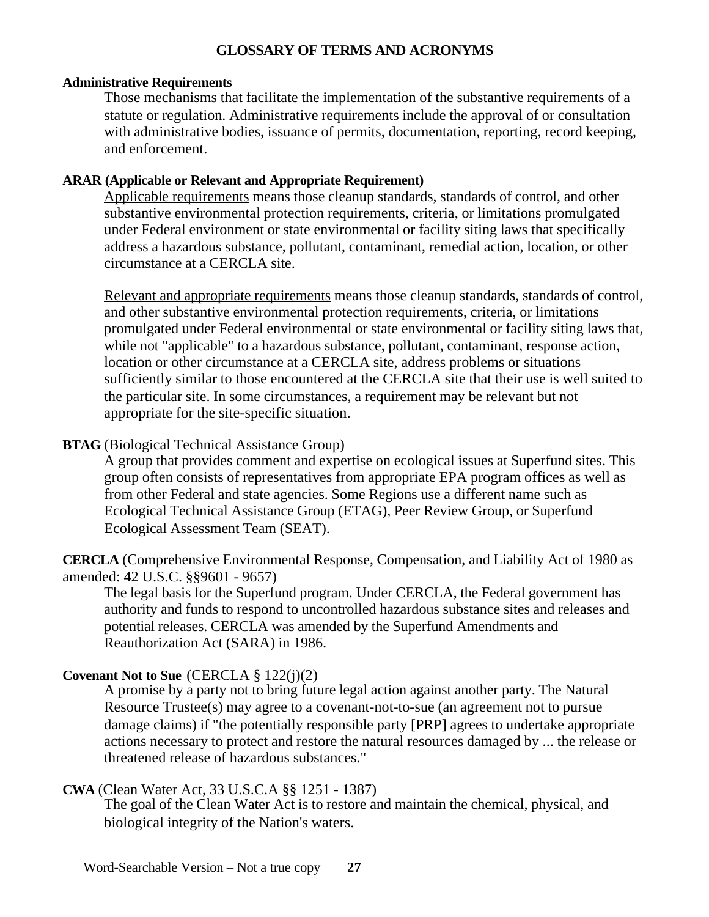## **GLOSSARY OF TERMS AND ACRONYMS**

#### **Administrative Requirements**

Those mechanisms that facilitate the implementation of the substantive requirements of a statute or regulation. Administrative requirements include the approval of or consultation with administrative bodies, issuance of permits, documentation, reporting, record keeping, and enforcement.

## **ARAR (Applicable or Relevant and Appropriate Requirement)**

Applicable requirements means those cleanup standards, standards of control, and other substantive environmental protection requirements, criteria, or limitations promulgated under Federal environment or state environmental or facility siting laws that specifically address a hazardous substance, pollutant, contaminant, remedial action, location, or other circumstance at a CERCLA site.

Relevant and appropriate requirements means those cleanup standards, standards of control, and other substantive environmental protection requirements, criteria, or limitations promulgated under Federal environmental or state environmental or facility siting laws that, while not "applicable" to a hazardous substance, pollutant, contaminant, response action, location or other circumstance at a CERCLA site, address problems or situations sufficiently similar to those encountered at the CERCLA site that their use is well suited to the particular site. In some circumstances, a requirement may be relevant but not appropriate for the site-specific situation.

# **BTAG** (Biological Technical Assistance Group)

A group that provides comment and expertise on ecological issues at Superfund sites. This group often consists of representatives from appropriate EPA program offices as well as from other Federal and state agencies. Some Regions use a different name such as Ecological Technical Assistance Group (ETAG), Peer Review Group, or Superfund Ecological Assessment Team (SEAT).

**CERCLA** (Comprehensive Environmental Response, Compensation, and Liability Act of 1980 as amended: 42 U.S.C. §§9601 - 9657)

The legal basis for the Superfund program. Under CERCLA, the Federal government has authority and funds to respond to uncontrolled hazardous substance sites and releases and potential releases. CERCLA was amended by the Superfund Amendments and Reauthorization Act (SARA) in 1986.

# **Covenant Not to Sue** (CERCLA § 122(j)(2)

A promise by a party not to bring future legal action against another party. The Natural Resource Trustee(s) may agree to a covenant-not-to-sue (an agreement not to pursue damage claims) if "the potentially responsible party [PRP] agrees to undertake appropriate actions necessary to protect and restore the natural resources damaged by ... the release or threatened release of hazardous substances."

#### **CWA** (Clean Water Act, 33 U.S.C.A §§ 1251 - 1387)

The goal of the Clean Water Act is to restore and maintain the chemical, physical, and biological integrity of the Nation's waters.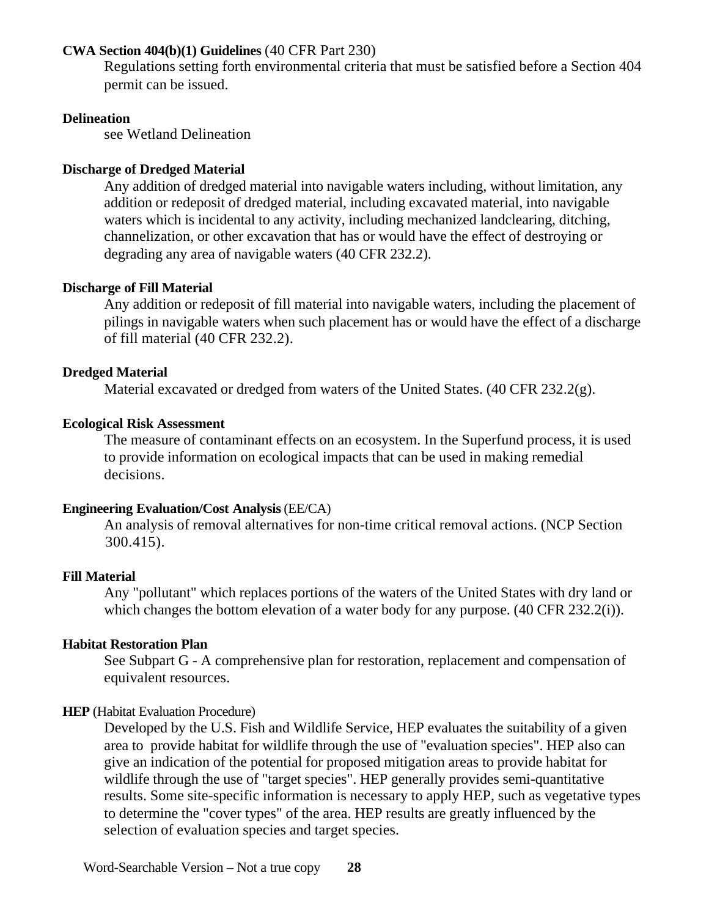### **CWA Section 404(b)(1) Guidelines** (40 CFR Part 230)

Regulations setting forth environmental criteria that must be satisfied before a Section 404 permit can be issued.

#### **Delineation**

see Wetland Delineation

#### **Discharge of Dredged Material**

Any addition of dredged material into navigable waters including, without limitation, any addition or redeposit of dredged material, including excavated material, into navigable waters which is incidental to any activity, including mechanized landclearing, ditching, channelization, or other excavation that has or would have the effect of destroying or degrading any area of navigable waters (40 CFR 232.2).

#### **Discharge of Fill Material**

Any addition or redeposit of fill material into navigable waters, including the placement of pilings in navigable waters when such placement has or would have the effect of a discharge of fill material (40 CFR 232.2).

#### **Dredged Material**

Material excavated or dredged from waters of the United States. (40 CFR 232.2(g).

#### **Ecological Risk Assessment**

The measure of contaminant effects on an ecosystem. In the Superfund process, it is used to provide information on ecological impacts that can be used in making remedial decisions.

#### **Engineering Evaluation/Cost Analysis** (EE/CA)

An analysis of removal alternatives for non-time critical removal actions. (NCP Section 300.415).

#### **Fill Material**

Any "pollutant" which replaces portions of the waters of the United States with dry land or which changes the bottom elevation of a water body for any purpose. (40 CFR 232.2(i)).

#### **Habitat Restoration Plan**

See Subpart G - A comprehensive plan for restoration, replacement and compensation of equivalent resources.

#### **HEP** (Habitat Evaluation Procedure)

Developed by the U.S. Fish and Wildlife Service, HEP evaluates the suitability of a given area to provide habitat for wildlife through the use of "evaluation species". HEP also can give an indication of the potential for proposed mitigation areas to provide habitat for wildlife through the use of "target species". HEP generally provides semi-quantitative results. Some site-specific information is necessary to apply HEP, such as vegetative types to determine the "cover types" of the area. HEP results are greatly influenced by the selection of evaluation species and target species.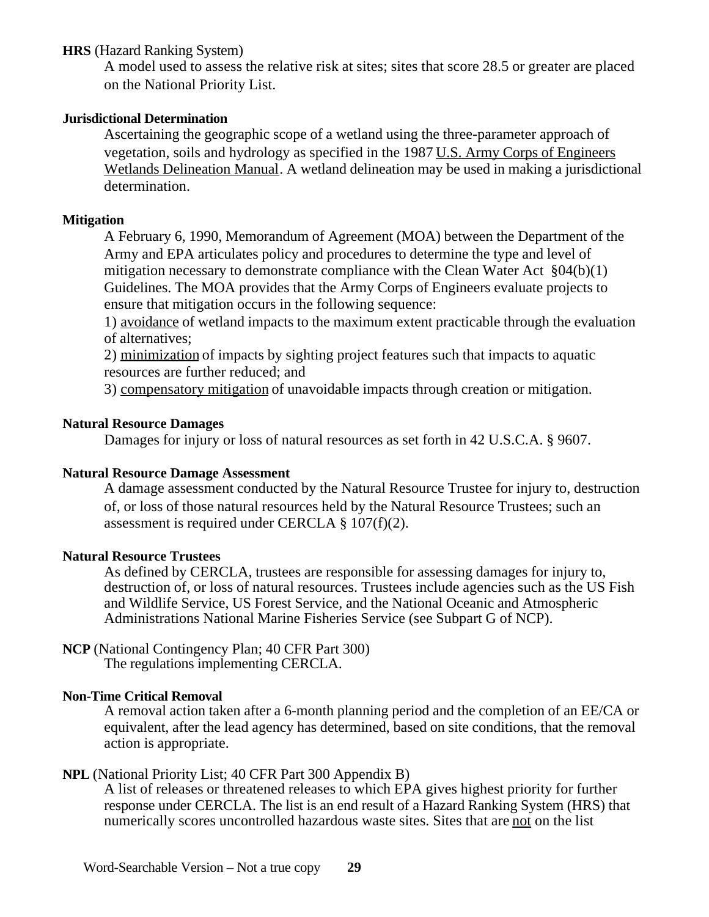## **HRS** (Hazard Ranking System)

A model used to assess the relative risk at sites; sites that score 28.5 or greater are placed on the National Priority List.

#### **Jurisdictional Determination**

Ascertaining the geographic scope of a wetland using the three-parameter approach of vegetation, soils and hydrology as specified in the 1987 U.S. Army Corps of Engineers Wetlands Delineation Manual. A wetland delineation may be used in making a jurisdictional determination.

#### **Mitigation**

A February 6, 1990, Memorandum of Agreement (MOA) between the Department of the Army and EPA articulates policy and procedures to determine the type and level of mitigation necessary to demonstrate compliance with the Clean Water Act §04(b)(1) Guidelines. The MOA provides that the Army Corps of Engineers evaluate projects to ensure that mitigation occurs in the following sequence:

1) avoidance of wetland impacts to the maximum extent practicable through the evaluation of alternatives;

2) minimization of impacts by sighting project features such that impacts to aquatic resources are further reduced; and

3) compensatory mitigation of unavoidable impacts through creation or mitigation.

#### **Natural Resource Damages**

Damages for injury or loss of natural resources as set forth in 42 U.S.C.A. § 9607.

#### **Natural Resource Damage Assessment**

A damage assessment conducted by the Natural Resource Trustee for injury to, destruction of, or loss of those natural resources held by the Natural Resource Trustees; such an assessment is required under CERCLA § 107(f)(2).

#### **Natural Resource Trustees**

As defined by CERCLA, trustees are responsible for assessing damages for injury to, destruction of, or loss of natural resources. Trustees include agencies such as the US Fish and Wildlife Service, US Forest Service, and the National Oceanic and Atmospheric Administrations National Marine Fisheries Service (see Subpart G of NCP).

#### **NCP** (National Contingency Plan; 40 CFR Part 300) The regulations implementing CERCLA.

#### **Non-Time Critical Removal**

A removal action taken after a 6-month planning period and the completion of an EE/CA or equivalent, after the lead agency has determined, based on site conditions, that the removal action is appropriate.

#### **NPL** (National Priority List; 40 CFR Part 300 Appendix B)

A list of releases or threatened releases to which EPA gives highest priority for further response under CERCLA. The list is an end result of a Hazard Ranking System (HRS) that numerically scores uncontrolled hazardous waste sites. Sites that are not on the list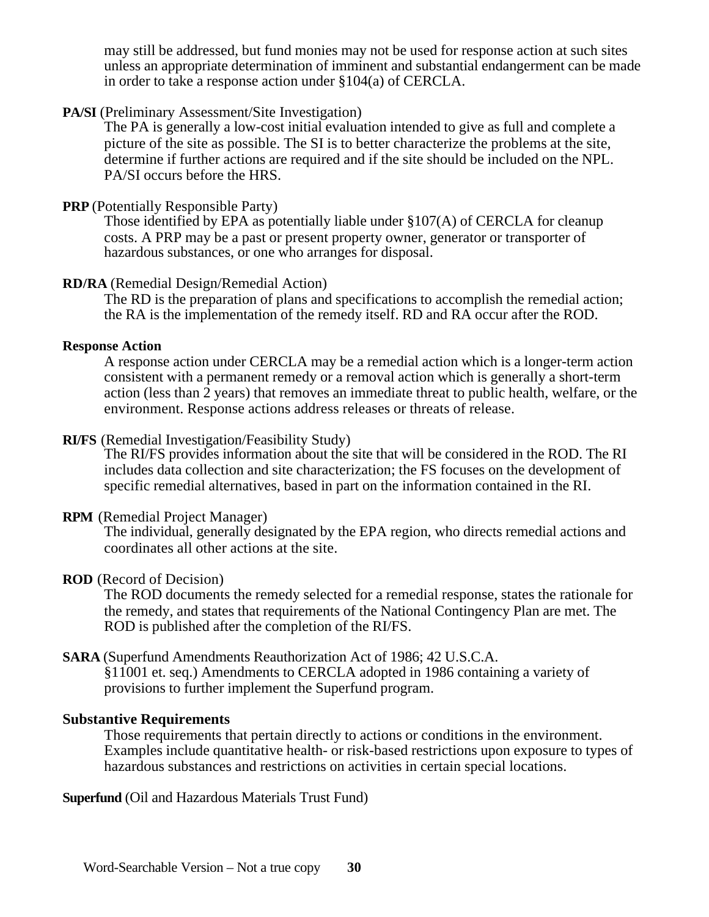may still be addressed, but fund monies may not be used for response action at such sites unless an appropriate determination of imminent and substantial endangerment can be made in order to take a response action under §104(a) of CERCLA.

### PA/SI (Preliminary Assessment/Site Investigation)

The PA is generally a low-cost initial evaluation intended to give as full and complete a picture of the site as possible. The SI is to better characterize the problems at the site, determine if further actions are required and if the site should be included on the NPL. PA/SI occurs before the HRS.

#### **PRP** (Potentially Responsible Party)

Those identified by EPA as potentially liable under §107(A) of CERCLA for cleanup costs. A PRP may be a past or present property owner, generator or transporter of hazardous substances, or one who arranges for disposal.

#### **RD/RA** (Remedial Design/Remedial Action)

The RD is the preparation of plans and specifications to accomplish the remedial action; the RA is the implementation of the remedy itself. RD and RA occur after the ROD.

#### **Response Action**

A response action under CERCLA may be a remedial action which is a longer-term action consistent with a permanent remedy or a removal action which is generally a short-term action (less than 2 years) that removes an immediate threat to public health, welfare, or the environment. Response actions address releases or threats of release.

#### **RI/FS** (Remedial Investigation/Feasibility Study)

The RI/FS provides information about the site that will be considered in the ROD. The RI includes data collection and site characterization; the FS focuses on the development of specific remedial alternatives, based in part on the information contained in the RI.

#### **RPM** (Remedial Project Manager)

The individual, generally designated by the EPA region, who directs remedial actions and coordinates all other actions at the site.

#### **ROD** (Record of Decision)

The ROD documents the remedy selected for a remedial response, states the rationale for the remedy, and states that requirements of the National Contingency Plan are met. The ROD is published after the completion of the RI/FS.

#### **SARA** (Superfund Amendments Reauthorization Act of 1986; 42 U.S.C.A.

§11001 et. seq.) Amendments to CERCLA adopted in 1986 containing a variety of provisions to further implement the Superfund program.

#### **Substantive Requirements**

Those requirements that pertain directly to actions or conditions in the environment. Examples include quantitative health- or risk-based restrictions upon exposure to types of hazardous substances and restrictions on activities in certain special locations.

**Superfund** (Oil and Hazardous Materials Trust Fund)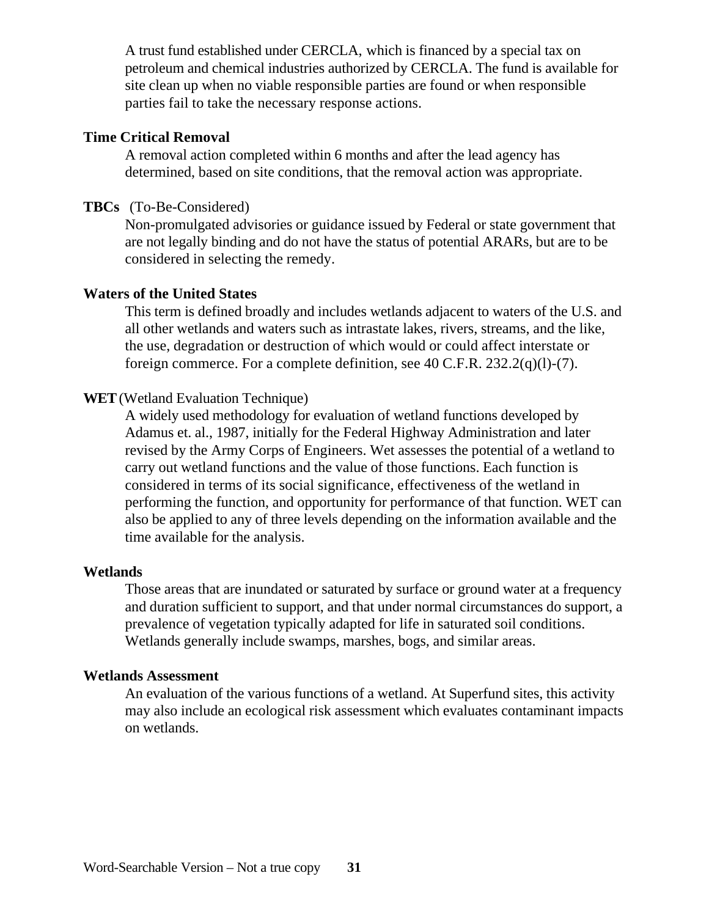A trust fund established under CERCLA, which is financed by a special tax on petroleum and chemical industries authorized by CERCLA. The fund is available for site clean up when no viable responsible parties are found or when responsible parties fail to take the necessary response actions.

#### **Time Critical Removal**

A removal action completed within 6 months and after the lead agency has determined, based on site conditions, that the removal action was appropriate.

#### **TBCs** (To-Be-Considered)

Non-promulgated advisories or guidance issued by Federal or state government that are not legally binding and do not have the status of potential ARARs, but are to be considered in selecting the remedy.

#### **Waters of the United States**

This term is defined broadly and includes wetlands adjacent to waters of the U.S. and all other wetlands and waters such as intrastate lakes, rivers, streams, and the like, the use, degradation or destruction of which would or could affect interstate or foreign commerce. For a complete definition, see 40 C.F.R. 232.2(q)(l)-(7).

## **WET** (Wetland Evaluation Technique)

A widely used methodology for evaluation of wetland functions developed by Adamus et. al., 1987, initially for the Federal Highway Administration and later revised by the Army Corps of Engineers. Wet assesses the potential of a wetland to carry out wetland functions and the value of those functions. Each function is considered in terms of its social significance, effectiveness of the wetland in performing the function, and opportunity for performance of that function. WET can also be applied to any of three levels depending on the information available and the time available for the analysis.

#### **Wetlands**

Those areas that are inundated or saturated by surface or ground water at a frequency and duration sufficient to support, and that under normal circumstances do support, a prevalence of vegetation typically adapted for life in saturated soil conditions. Wetlands generally include swamps, marshes, bogs, and similar areas.

#### **Wetlands Assessment**

An evaluation of the various functions of a wetland. At Superfund sites, this activity may also include an ecological risk assessment which evaluates contaminant impacts on wetlands.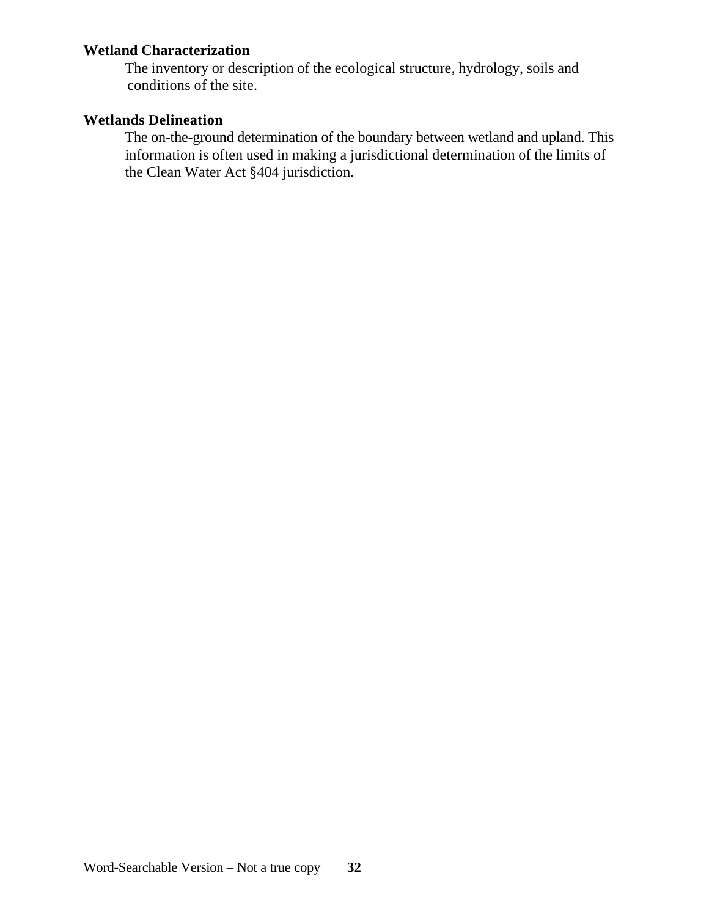# **Wetland Characterization**

The inventory or description of the ecological structure, hydrology, soils and conditions of the site.

# **Wetlands Delineation**

The on-the-ground determination of the boundary between wetland and upland. This information is often used in making a jurisdictional determination of the limits of the Clean Water Act §404 jurisdiction.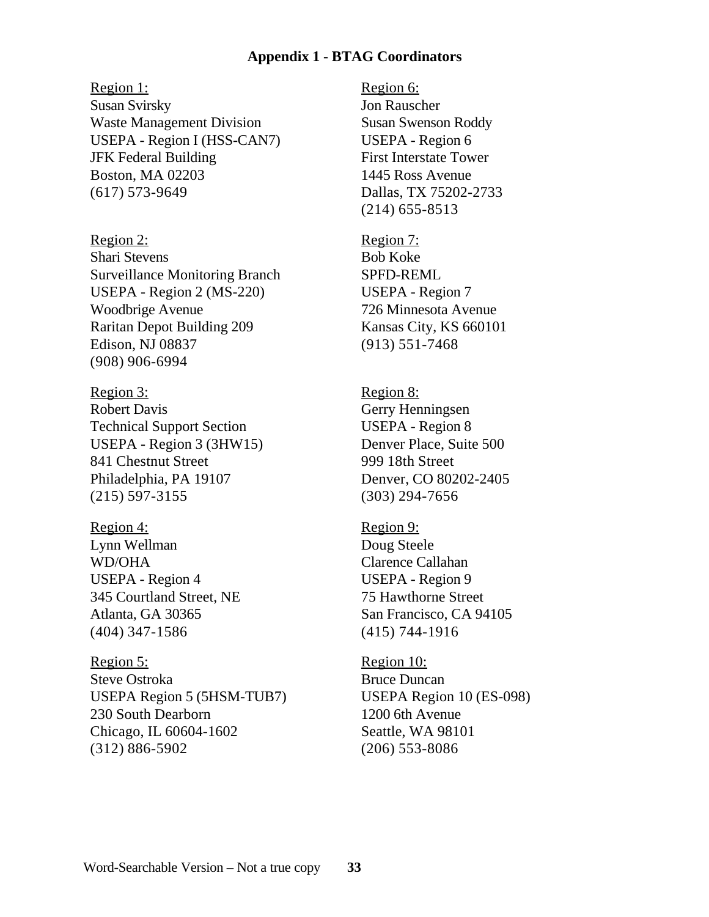#### **Appendix 1 - BTAG Coordinators**

Region 1:

Susan Svirsky Waste Management Division USEPA - Region I (HSS-CAN7) JFK Federal Building Boston, MA 02203 (617) 573-9649

Region 2: Shari Stevens Surveillance Monitoring Branch USEPA - Region 2 (MS-220) Woodbrige Avenue Raritan Depot Building 209 Edison, NJ 08837 (908) 906-6994

Region 3: Robert Davis Technical Support Section USEPA - Region 3 (3HW15) 841 Chestnut Street Philadelphia, PA 19107 (215) 597-3155

Region 4: Lynn Wellman WD/OHA USEPA - Region 4 345 Courtland Street, NE Atlanta, GA 30365 (404) 347-1586

Region 5: Steve Ostroka USEPA Region 5 (5HSM-TUB7) 230 South Dearborn Chicago, IL 60604-1602 (312) 886-5902

Region 6: Jon Rauscher Susan Swenson Roddy USEPA - Region 6 First Interstate Tower 1445 Ross Avenue Dallas, TX 75202-2733 (214) 655-8513

Region 7: Bob Koke SPFD-REML USEPA - Region 7 726 Minnesota Avenue Kansas City, KS 660101 (913) 551-7468

Region 8: Gerry Henningsen USEPA - Region 8 Denver Place, Suite 500 999 18th Street Denver, CO 80202-2405 (303) 294-7656

Region 9: Doug Steele Clarence Callahan USEPA - Region 9 75 Hawthorne Street San Francisco, CA 94105 (415) 744-1916

Region 10: Bruce Duncan USEPA Region 10 (ES-098) 1200 6th Avenue Seattle, WA 98101 (206) 553-8086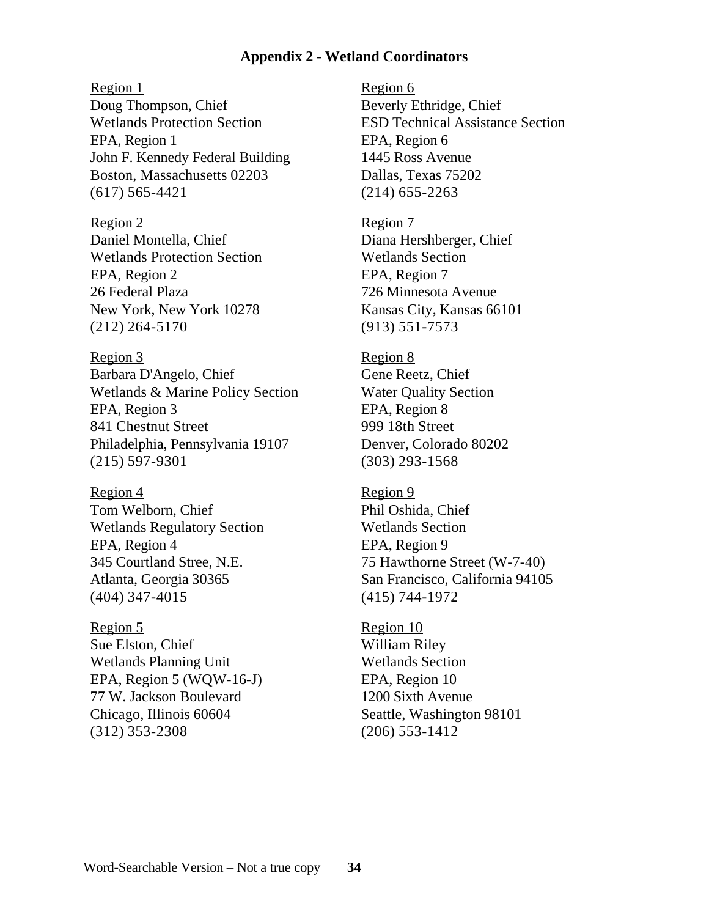#### **Appendix 2 - Wetland Coordinators**

Region 1

Doug Thompson, Chief Wetlands Protection Section EPA, Region 1 John F. Kennedy Federal Building Boston, Massachusetts 02203 (617) 565-4421

Region 2 Daniel Montella, Chief Wetlands Protection Section EPA, Region 2 26 Federal Plaza New York, New York 10278 (212) 264-5170

Region 3 Barbara D'Angelo, Chief Wetlands & Marine Policy Section EPA, Region 3 841 Chestnut Street Philadelphia, Pennsylvania 19107 (215) 597-9301

Region 4 Tom Welborn, Chief Wetlands Regulatory Section EPA, Region 4 345 Courtland Stree, N.E. Atlanta, Georgia 30365 (404) 347-4015

Region 5 Sue Elston, Chief Wetlands Planning Unit EPA, Region 5 (WQW-16-J) 77 W. Jackson Boulevard Chicago, Illinois 60604 (312) 353-2308

Region 6 Beverly Ethridge, Chief ESD Technical Assistance Section EPA, Region 6 1445 Ross Avenue Dallas, Texas 75202 (214) 655-2263

Region 7 Diana Hershberger, Chief Wetlands Section EPA, Region 7 726 Minnesota Avenue Kansas City, Kansas 66101 (913) 551-7573

Region 8 Gene Reetz, Chief Water Quality Section EPA, Region 8 999 18th Street Denver, Colorado 80202 (303) 293-1568

Region 9 Phil Oshida, Chief Wetlands Section EPA, Region 9 75 Hawthorne Street (W-7-40) San Francisco, California 94105 (415) 744-1972

Region 10 William Riley Wetlands Section EPA, Region 10 1200 Sixth Avenue Seattle, Washington 98101 (206) 553-1412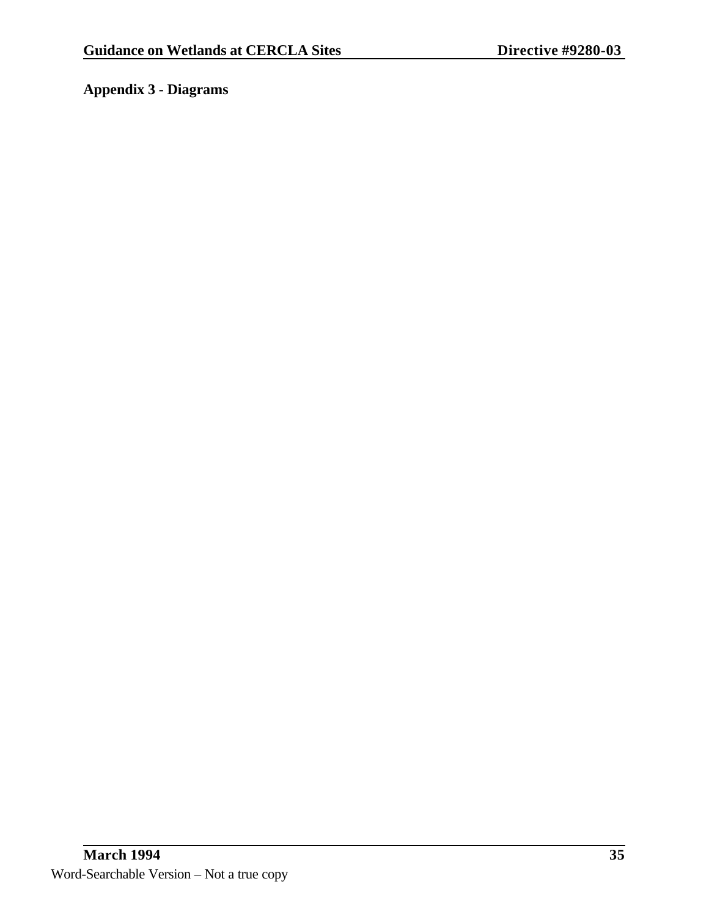# **Appendix 3 - Diagrams**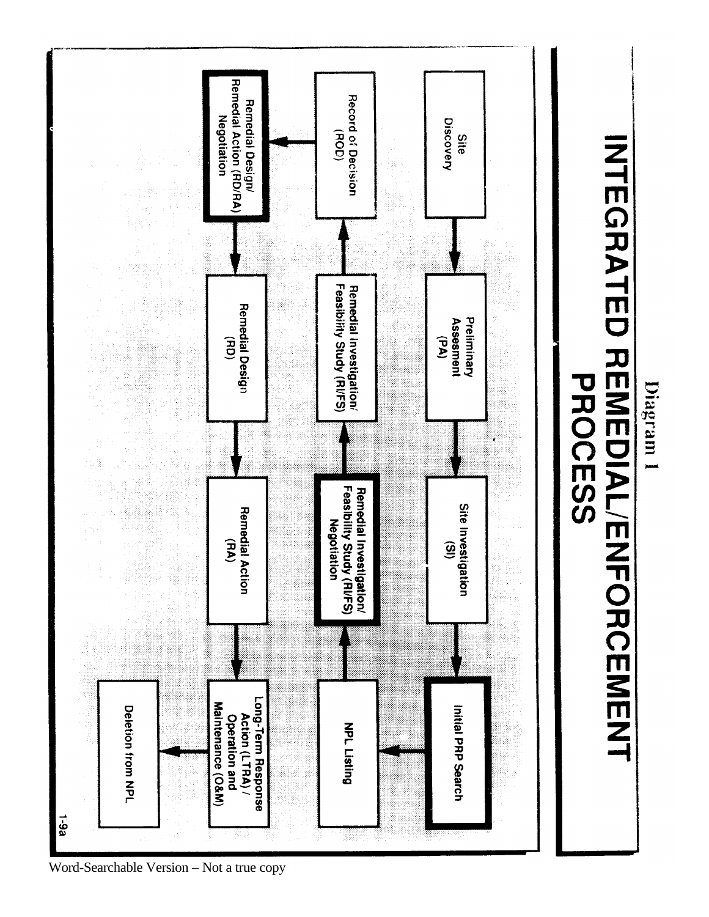

INTEGRATED REMEDIAL/ENFORCEMENT

Diagram 1

**PROCESS** 

Word-Searchable Version – Not a true copy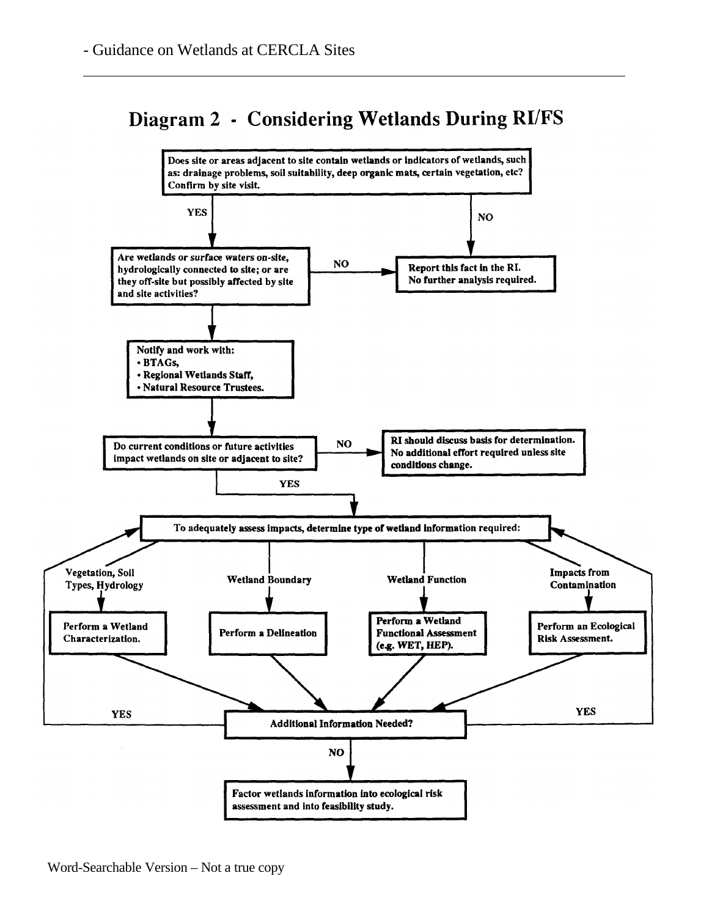# Diagram 2 - Considering Wetlands During RI/FS

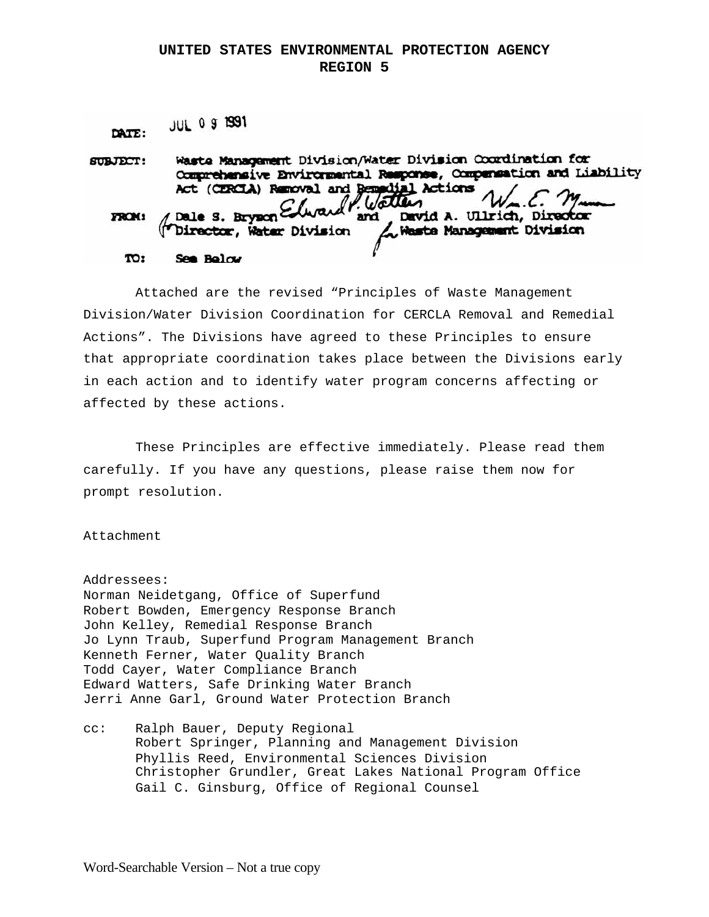#### **UNITED STATES ENVIRONMENTAL PROTECTION AGENCY REGION 5**

**JUL 0 9 1991** DATE:

Waste Management Division/Water Division Coordination for **SUBJECT:** Comprehensive Environmental Response, Compensation and Liability Act (CERCLA) Removal and Remadial Actions Watter Dale S. Bryzon Edwar David A. Ullrich, Director **FROM:** and Waste Management Division Director, Water Division TO: See Below

Attached are the revised "Principles of Waste Management Division/Water Division Coordination for CERCLA Removal and Remedial Actions". The Divisions have agreed to these Principles to ensure that appropriate coordination takes place between the Divisions early in each action and to identify water program concerns affecting or affected by these actions.

These Principles are effective immediately. Please read them carefully. If you have any questions, please raise them now for prompt resolution.

#### Attachment

Addressees: Norman Neidetgang, Office of Superfund Robert Bowden, Emergency Response Branch John Kelley, Remedial Response Branch Jo Lynn Traub, Superfund Program Management Branch Kenneth Ferner, Water Quality Branch Todd Cayer, Water Compliance Branch Edward Watters, Safe Drinking Water Branch Jerri Anne Garl, Ground Water Protection Branch

cc: Ralph Bauer, Deputy Regional Robert Springer, Planning and Management Division Phyllis Reed, Environmental Sciences Division Christopher Grundler, Great Lakes National Program Office Gail C. Ginsburg, Office of Regional Counsel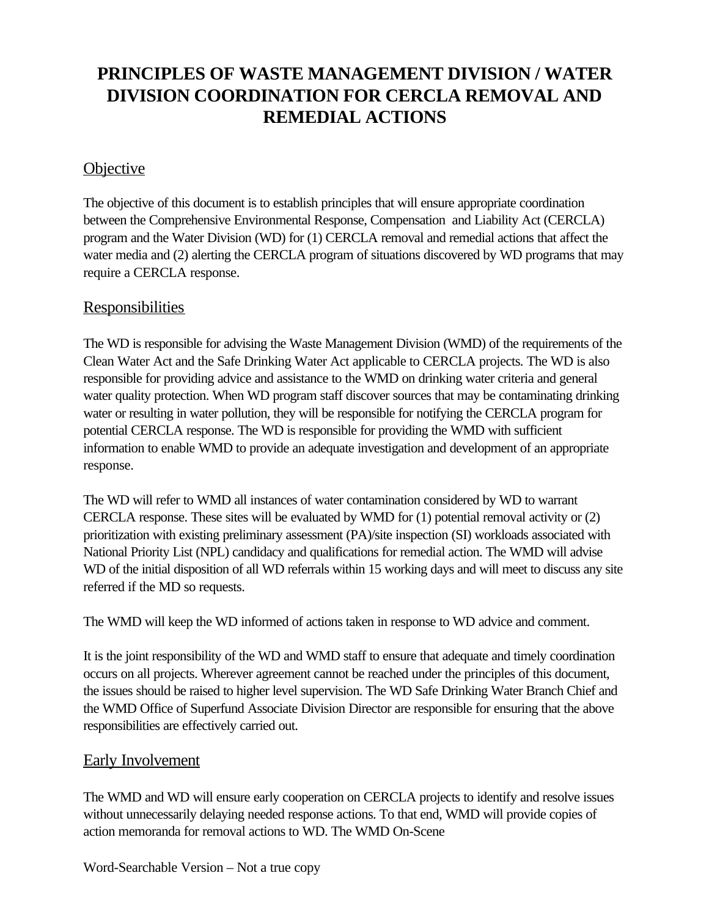# **PRINCIPLES OF WASTE MANAGEMENT DIVISION / WATER DIVISION COORDINATION FOR CERCLA REMOVAL AND REMEDIAL ACTIONS**

# **Objective**

The objective of this document is to establish principles that will ensure appropriate coordination between the Comprehensive Environmental Response, Compensation and Liability Act (CERCLA) program and the Water Division (WD) for (1) CERCLA removal and remedial actions that affect the water media and (2) alerting the CERCLA program of situations discovered by WD programs that may require a CERCLA response.

# **Responsibilities**

The WD is responsible for advising the Waste Management Division (WMD) of the requirements of the Clean Water Act and the Safe Drinking Water Act applicable to CERCLA projects. The WD is also responsible for providing advice and assistance to the WMD on drinking water criteria and general water quality protection. When WD program staff discover sources that may be contaminating drinking water or resulting in water pollution, they will be responsible for notifying the CERCLA program for potential CERCLA response. The WD is responsible for providing the WMD with sufficient information to enable WMD to provide an adequate investigation and development of an appropriate response.

The WD will refer to WMD all instances of water contamination considered by WD to warrant CERCLA response. These sites will be evaluated by WMD for (1) potential removal activity or (2) prioritization with existing preliminary assessment (PA)/site inspection (SI) workloads associated with National Priority List (NPL) candidacy and qualifications for remedial action. The WMD will advise WD of the initial disposition of all WD referrals within 15 working days and will meet to discuss any site referred if the MD so requests.

The WMD will keep the WD informed of actions taken in response to WD advice and comment.

It is the joint responsibility of the WD and WMD staff to ensure that adequate and timely coordination occurs on all projects. Wherever agreement cannot be reached under the principles of this document, the issues should be raised to higher level supervision. The WD Safe Drinking Water Branch Chief and the WMD Office of Superfund Associate Division Director are responsible for ensuring that the above responsibilities are effectively carried out.

# Early Involvement

The WMD and WD will ensure early cooperation on CERCLA projects to identify and resolve issues without unnecessarily delaying needed response actions. To that end, WMD will provide copies of action memoranda for removal actions to WD. The WMD On-Scene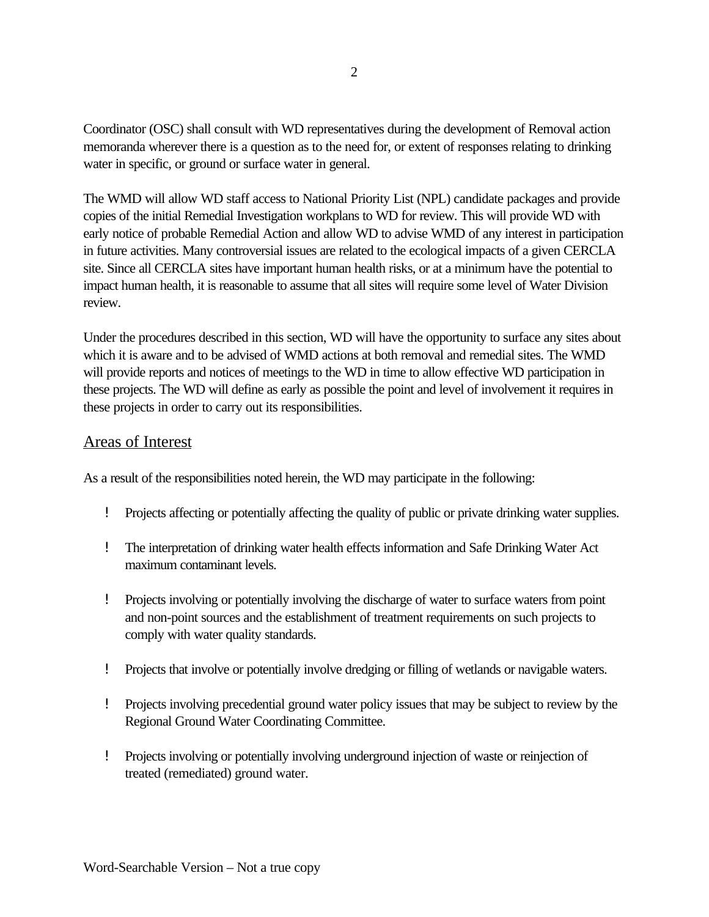Coordinator (OSC) shall consult with WD representatives during the development of Removal action memoranda wherever there is a question as to the need for, or extent of responses relating to drinking water in specific, or ground or surface water in general.

The WMD will allow WD staff access to National Priority List (NPL) candidate packages and provide copies of the initial Remedial Investigation workplans to WD for review. This will provide WD with early notice of probable Remedial Action and allow WD to advise WMD of any interest in participation in future activities. Many controversial issues are related to the ecological impacts of a given CERCLA site. Since all CERCLA sites have important human health risks, or at a minimum have the potential to impact human health, it is reasonable to assume that all sites will require some level of Water Division review.

Under the procedures described in this section, WD will have the opportunity to surface any sites about which it is aware and to be advised of WMD actions at both removal and remedial sites. The WMD will provide reports and notices of meetings to the WD in time to allow effective WD participation in these projects. The WD will define as early as possible the point and level of involvement it requires in these projects in order to carry out its responsibilities.

## Areas of Interest

As a result of the responsibilities noted herein, the WD may participate in the following:

- ! Projects affecting or potentially affecting the quality of public or private drinking water supplies.
- ! The interpretation of drinking water health effects information and Safe Drinking Water Act maximum contaminant levels.
- ! Projects involving or potentially involving the discharge of water to surface waters from point and non-point sources and the establishment of treatment requirements on such projects to comply with water quality standards.
- ! Projects that involve or potentially involve dredging or filling of wetlands or navigable waters.
- ! Projects involving precedential ground water policy issues that may be subject to review by the Regional Ground Water Coordinating Committee.
- ! Projects involving or potentially involving underground injection of waste or reinjection of treated (remediated) ground water.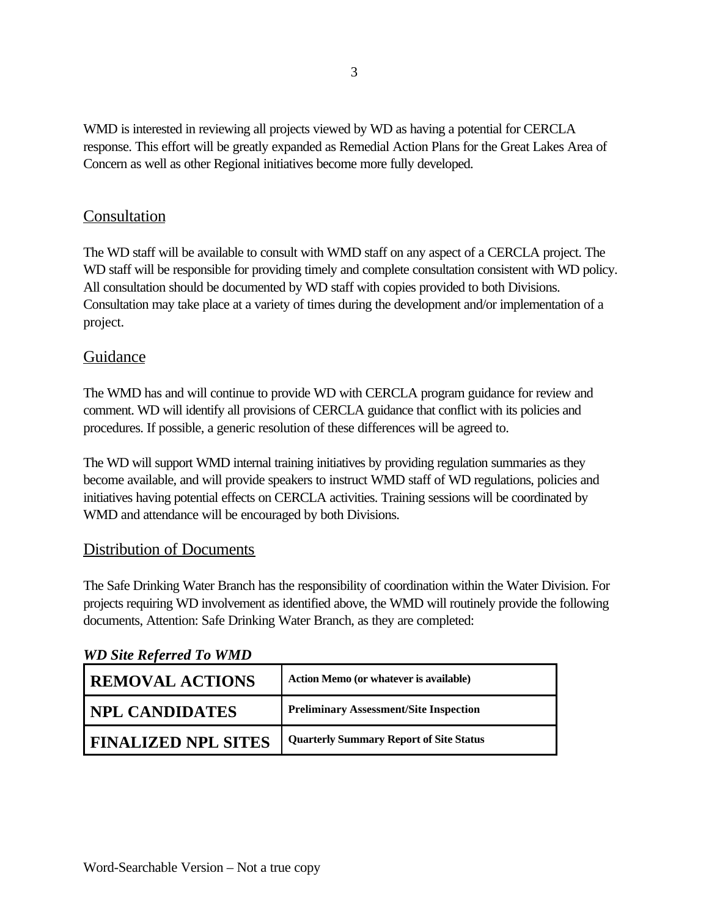WMD is interested in reviewing all projects viewed by WD as having a potential for CERCLA response. This effort will be greatly expanded as Remedial Action Plans for the Great Lakes Area of Concern as well as other Regional initiatives become more fully developed.

# Consultation

The WD staff will be available to consult with WMD staff on any aspect of a CERCLA project. The WD staff will be responsible for providing timely and complete consultation consistent with WD policy. All consultation should be documented by WD staff with copies provided to both Divisions. Consultation may take place at a variety of times during the development and/or implementation of a project.

# Guidance

The WMD has and will continue to provide WD with CERCLA program guidance for review and comment. WD will identify all provisions of CERCLA guidance that conflict with its policies and procedures. If possible, a generic resolution of these differences will be agreed to.

The WD will support WMD internal training initiatives by providing regulation summaries as they become available, and will provide speakers to instruct WMD staff of WD regulations, policies and initiatives having potential effects on CERCLA activities. Training sessions will be coordinated by WMD and attendance will be encouraged by both Divisions.

# Distribution of Documents

The Safe Drinking Water Branch has the responsibility of coordination within the Water Division. For projects requiring WD involvement as identified above, the WMD will routinely provide the following documents, Attention: Safe Drinking Water Branch, as they are completed:

# *WD Site Referred To WMD*

| <b>REMOVAL ACTIONS</b>     | <b>Action Memo (or whatever is available)</b>  |
|----------------------------|------------------------------------------------|
| <b>NPL CANDIDATES</b>      | <b>Preliminary Assessment/Site Inspection</b>  |
| <b>FINALIZED NPL SITES</b> | <b>Quarterly Summary Report of Site Status</b> |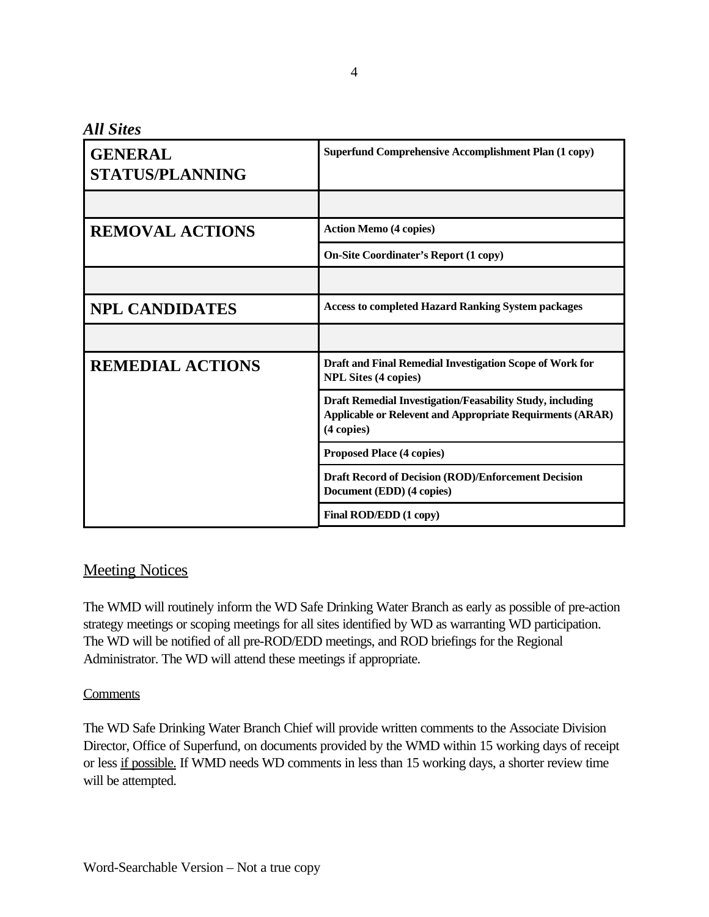*All Sites* 

| <b>GENERAL</b><br><b>STATUS/PLANNING</b> | <b>Superfund Comprehensive Accomplishment Plan (1 copy)</b>                                                                                          |  |  |
|------------------------------------------|------------------------------------------------------------------------------------------------------------------------------------------------------|--|--|
|                                          |                                                                                                                                                      |  |  |
| <b>REMOVAL ACTIONS</b>                   | <b>Action Memo (4 copies)</b>                                                                                                                        |  |  |
|                                          | <b>On-Site Coordinater's Report (1 copy)</b>                                                                                                         |  |  |
|                                          |                                                                                                                                                      |  |  |
| <b>NPL CANDIDATES</b>                    | <b>Access to completed Hazard Ranking System packages</b>                                                                                            |  |  |
|                                          |                                                                                                                                                      |  |  |
| <b>REMEDIAL ACTIONS</b>                  | Draft and Final Remedial Investigation Scope of Work for<br><b>NPL Sites (4 copies)</b>                                                              |  |  |
|                                          | <b>Draft Remedial Investigation/Feasability Study, including</b><br><b>Applicable or Relevent and Appropriate Requirments (ARAR)</b><br>$(4$ copies) |  |  |
|                                          | <b>Proposed Place (4 copies)</b>                                                                                                                     |  |  |
|                                          | <b>Draft Record of Decision (ROD)/Enforcement Decision</b><br>Document (EDD) (4 copies)                                                              |  |  |
|                                          | Final ROD/EDD (1 copy)                                                                                                                               |  |  |

# **Meeting Notices**

The WMD will routinely inform the WD Safe Drinking Water Branch as early as possible of pre-action strategy meetings or scoping meetings for all sites identified by WD as warranting WD participation. The WD will be notified of all pre-ROD/EDD meetings, and ROD briefings for the Regional Administrator. The WD will attend these meetings if appropriate.

#### **Comments**

The WD Safe Drinking Water Branch Chief will provide written comments to the Associate Division Director, Office of Superfund, on documents provided by the WMD within 15 working days of receipt or less if possible. If WMD needs WD comments in less than 15 working days, a shorter review time will be attempted.